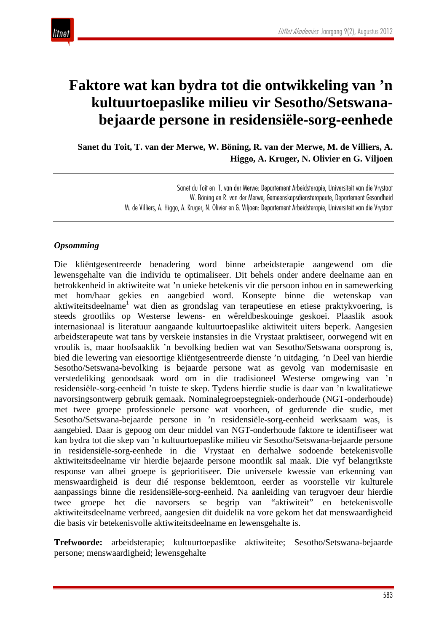

# **Faktore wat kan bydra tot die ontwikkeling van 'n kultuurtoepaslike milieu vir Sesotho/Setswanabejaarde persone in residensiële-sorg-eenhede**

 **Sanet du Toit, T. van der Merwe, W. Böning, R. van der Merwe, M. de Villiers, A. Higgo, A. Kruger, N. Olivier en G. Viljoen**

> Sanet du Toit en T. van der Merwe: Departement Arbeidsterapie, Universiteit van die Vrystaat W. Böning en R. van der Merwe, Gemeenskapsdiensterapeute, Departement Gesondheid M. de Villiers, A. Higgo, A. Kruger, N. Olivier en G. Viljoen: Departement Arbeidsterapie, Universiteit van die Vrystaat

#### *Opsomming*

Die kliëntgesentreerde benadering word binne arbeidsterapie aangewend om die lewensgehalte van die individu te optimaliseer. Dit behels onder andere deelname aan en betrokkenheid in aktiwiteite wat 'n unieke betekenis vir die persoon inhou en in samewerking met hom/haar gekies en aangebied word. Konsepte binne die wetenskap van aktiwiteitsdeelname<sup>1</sup> wat dien as grondslag van terapeutiese en etiese praktykvoering, is steeds grootliks op Westerse lewens- en wêreldbeskouinge geskoei. Plaaslik asook internasionaal is literatuur aangaande kultuurtoepaslike aktiwiteit uiters beperk. Aangesien arbeidsterapeute wat tans by verskeie instansies in die Vrystaat praktiseer, oorwegend wit en vroulik is, maar hoofsaaklik 'n bevolking bedien wat van Sesotho/Setswana oorsprong is, bied die lewering van eiesoortige kliëntgesentreerde dienste 'n uitdaging. 'n Deel van hierdie Sesotho/Setswana-bevolking is bejaarde persone wat as gevolg van modernisasie en verstedeliking genoodsaak word om in die tradisioneel Westerse omgewing van 'n residensiële-sorg-eenheid 'n tuiste te skep. Tydens hierdie studie is daar van 'n kwalitatiewe navorsingsontwerp gebruik gemaak. Nominalegroepstegniek-onderhoude (NGT-onderhoude) met twee groepe professionele persone wat voorheen, of gedurende die studie, met Sesotho/Setswana-bejaarde persone in 'n residensiële-sorg-eenheid werksaam was, is aangebied. Daar is gepoog om deur middel van NGT-onderhoude faktore te identifiseer wat kan bydra tot die skep van 'n kultuurtoepaslike milieu vir Sesotho/Setswana-bejaarde persone in residensiële-sorg-eenhede in die Vrystaat en derhalwe sodoende betekenisvolle aktiwiteitsdeelname vir hierdie bejaarde persone moontlik sal maak. Die vyf belangrikste response van albei groepe is geprioritiseer. Die universele kwessie van erkenning van menswaardigheid is deur dié response beklemtoon, eerder as voorstelle vir kulturele aanpassings binne die residensiële-sorg-eenheid. Na aanleiding van terugvoer deur hierdie twee groepe het die navorsers se begrip van "aktiwiteit" en betekenisvolle aktiwiteitsdeelname verbreed, aangesien dit duidelik na vore gekom het dat menswaardigheid die basis vir betekenisvolle aktiwiteitsdeelname en lewensgehalte is.

**Trefwoorde:** arbeidsterapie; kultuurtoepaslike aktiwiteite; Sesotho/Setswana-bejaarde persone; menswaardigheid; lewensgehalte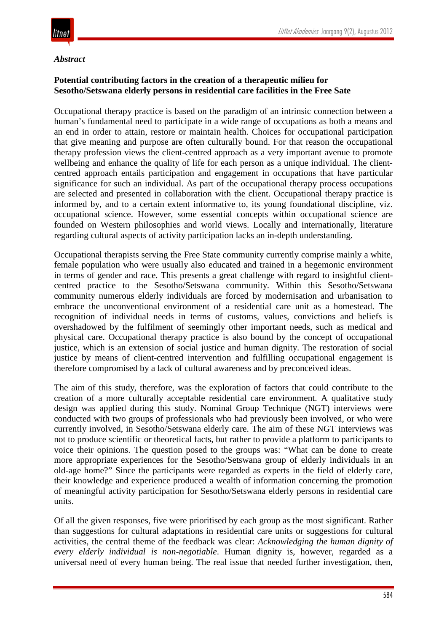

#### *Abstract*

#### **Potential contributing factors in the creation of a therapeutic milieu for Sesotho/Setswana elderly persons in residential care facilities in the Free Sate**

Occupational therapy practice is based on the paradigm of an intrinsic connection between a human's fundamental need to participate in a wide range of occupations as both a means and an end in order to attain, restore or maintain health. Choices for occupational participation that give meaning and purpose are often culturally bound. For that reason the occupational therapy profession views the client-centred approach as a very important avenue to promote wellbeing and enhance the quality of life for each person as a unique individual. The clientcentred approach entails participation and engagement in occupations that have particular significance for such an individual. As part of the occupational therapy process occupations are selected and presented in collaboration with the client. Occupational therapy practice is informed by, and to a certain extent informative to, its young foundational discipline, viz. occupational science. However, some essential concepts within occupational science are founded on Western philosophies and world views. Locally and internationally, literature regarding cultural aspects of activity participation lacks an in-depth understanding.

Occupational therapists serving the Free State community currently comprise mainly a white, female population who were usually also educated and trained in a hegemonic environment in terms of gender and race. This presents a great challenge with regard to insightful clientcentred practice to the Sesotho/Setswana community. Within this Sesotho/Setswana community numerous elderly individuals are forced by modernisation and urbanisation to embrace the unconventional environment of a residential care unit as a homestead. The recognition of individual needs in terms of customs, values, convictions and beliefs is overshadowed by the fulfilment of seemingly other important needs, such as medical and physical care. Occupational therapy practice is also bound by the concept of occupational justice, which is an extension of social justice and human dignity. The restoration of social justice by means of client-centred intervention and fulfilling occupational engagement is therefore compromised by a lack of cultural awareness and by preconceived ideas.

The aim of this study, therefore, was the exploration of factors that could contribute to the creation of a more culturally acceptable residential care environment. A qualitative study design was applied during this study. Nominal Group Technique (NGT) interviews were conducted with two groups of professionals who had previously been involved, or who were currently involved, in Sesotho/Setswana elderly care. The aim of these NGT interviews was not to produce scientific or theoretical facts, but rather to provide a platform to participants to voice their opinions. The question posed to the groups was: "What can be done to create more appropriate experiences for the Sesotho/Setswana group of elderly individuals in an old-age home?" Since the participants were regarded as experts in the field of elderly care, their knowledge and experience produced a wealth of information concerning the promotion of meaningful activity participation for Sesotho/Setswana elderly persons in residential care units.

Of all the given responses, five were prioritised by each group as the most significant. Rather than suggestions for cultural adaptations in residential care units or suggestions for cultural activities, the central theme of the feedback was clear: *Acknowledging the human dignity of every elderly individual is non-negotiable*. Human dignity is, however, regarded as a universal need of every human being. The real issue that needed further investigation, then,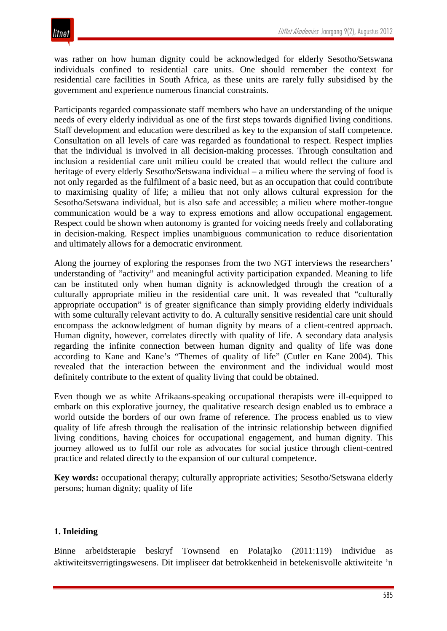was rather on how human dignity could be acknowledged for elderly Sesotho/Setswana individuals confined to residential care units. One should remember the context for residential care facilities in South Africa, as these units are rarely fully subsidised by the government and experience numerous financial constraints.

Participants regarded compassionate staff members who have an understanding of the unique needs of every elderly individual as one of the first steps towards dignified living conditions. Staff development and education were described as key to the expansion of staff competence. Consultation on all levels of care was regarded as foundational to respect. Respect implies that the individual is involved in all decision-making processes. Through consultation and inclusion a residential care unit milieu could be created that would reflect the culture and heritage of every elderly Sesotho/Setswana individual – a milieu where the serving of food is not only regarded as the fulfilment of a basic need, but as an occupation that could contribute to maximising quality of life; a milieu that not only allows cultural expression for the Sesotho/Setswana individual, but is also safe and accessible; a milieu where mother-tongue communication would be a way to express emotions and allow occupational engagement. Respect could be shown when autonomy is granted for voicing needs freely and collaborating in decision-making. Respect implies unambiguous communication to reduce disorientation and ultimately allows for a democratic environment.

Along the journey of exploring the responses from the two NGT interviews the researchers' understanding of "activity" and meaningful activity participation expanded. Meaning to life can be instituted only when human dignity is acknowledged through the creation of a culturally appropriate milieu in the residential care unit. It was revealed that "culturally appropriate occupation" is of greater significance than simply providing elderly individuals with some culturally relevant activity to do. A culturally sensitive residential care unit should encompass the acknowledgment of human dignity by means of a client-centred approach. Human dignity, however, correlates directly with quality of life. A secondary data analysis regarding the infinite connection between human dignity and quality of life was done according to Kane and Kane's "Themes of quality of life" (Cutler en Kane 2004). This revealed that the interaction between the environment and the individual would most definitely contribute to the extent of quality living that could be obtained.

Even though we as white Afrikaans-speaking occupational therapists were ill-equipped to embark on this explorative journey, the qualitative research design enabled us to embrace a world outside the borders of our own frame of reference. The process enabled us to view quality of life afresh through the realisation of the intrinsic relationship between dignified living conditions, having choices for occupational engagement, and human dignity. This journey allowed us to fulfil our role as advocates for social justice through client-centred practice and related directly to the expansion of our cultural competence.

**Key words:** occupational therapy; culturally appropriate activities; Sesotho/Setswana elderly persons; human dignity; quality of life

## **1. Inleiding**

Binne arbeidsterapie beskryf Townsend en Polatajko (2011:119) individue as aktiwiteitsverrigtingswesens. Dit impliseer dat betrokkenheid in betekenisvolle aktiwiteite 'n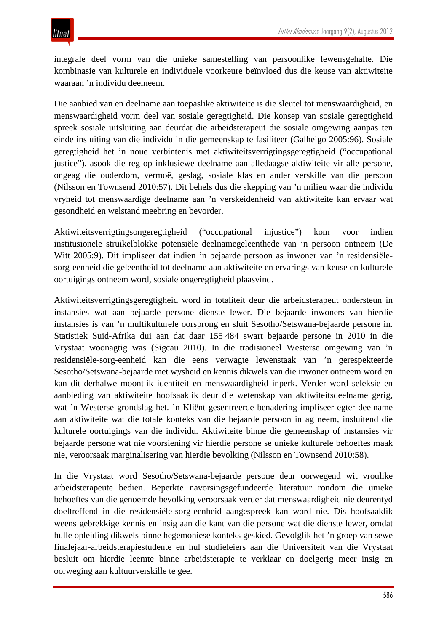integrale deel vorm van die unieke samestelling van persoonlike lewensgehalte. Die kombinasie van kulturele en individuele voorkeure beïnvloed dus die keuse van aktiwiteite waaraan 'n individu deelneem.

Die aanbied van en deelname aan toepaslike aktiwiteite is die sleutel tot menswaardigheid, en menswaardigheid vorm deel van sosiale geregtigheid. Die konsep van sosiale geregtigheid spreek sosiale uitsluiting aan deurdat die arbeidsterapeut die sosiale omgewing aanpas ten einde insluiting van die individu in die gemeenskap te fasiliteer (Galheigo 2005:96). Sosiale geregtigheid het 'n noue verbintenis met aktiwiteitsverrigtingsgeregtigheid ("occupational justice"), asook die reg op inklusiewe deelname aan alledaagse aktiwiteite vir alle persone, ongeag die ouderdom, vermoë, geslag, sosiale klas en ander verskille van die persoon (Nilsson en Townsend 2010:57). Dit behels dus die skepping van 'n milieu waar die individu vryheid tot menswaardige deelname aan 'n verskeidenheid van aktiwiteite kan ervaar wat gesondheid en welstand meebring en bevorder.

Aktiwiteitsverrigtingsongeregtigheid ("occupational injustice") kom voor indien institusionele struikelblokke potensiële deelnamegeleenthede van 'n persoon ontneem (De Witt 2005:9). Dit impliseer dat indien 'n bejaarde persoon as inwoner van 'n residensiëlesorg-eenheid die geleentheid tot deelname aan aktiwiteite en ervarings van keuse en kulturele oortuigings ontneem word, sosiale ongeregtigheid plaasvind.

Aktiwiteitsverrigtingsgeregtigheid word in totaliteit deur die arbeidsterapeut ondersteun in instansies wat aan bejaarde persone dienste lewer. Die bejaarde inwoners van hierdie instansies is van 'n multikulturele oorsprong en sluit Sesotho/Setswana-bejaarde persone in. Statistiek Suid-Afrika dui aan dat daar 155 484 swart bejaarde persone in 2010 in die Vrystaat woonagtig was (Sigcau 2010). In die tradisioneel Westerse omgewing van 'n residensiële-sorg-eenheid kan die eens verwagte lewenstaak van 'n gerespekteerde Sesotho/Setswana-bejaarde met wysheid en kennis dikwels van die inwoner ontneem word en kan dit derhalwe moontlik identiteit en menswaardigheid inperk. Verder word seleksie en aanbieding van aktiwiteite hoofsaaklik deur die wetenskap van aktiwiteitsdeelname gerig, wat 'n Westerse grondslag het. 'n Kliënt-gesentreerde benadering impliseer egter deelname aan aktiwiteite wat die totale konteks van die bejaarde persoon in ag neem, insluitend die kulturele oortuigings van die individu. Aktiwiteite binne die gemeenskap of instansies vir bejaarde persone wat nie voorsiening vir hierdie persone se unieke kulturele behoeftes maak nie, veroorsaak marginalisering van hierdie bevolking (Nilsson en Townsend 2010:58).

In die Vrystaat word Sesotho/Setswana-bejaarde persone deur oorwegend wit vroulike arbeidsterapeute bedien. Beperkte navorsingsgefundeerde literatuur rondom die unieke behoeftes van die genoemde bevolking veroorsaak verder dat menswaardigheid nie deurentyd doeltreffend in die residensiële-sorg-eenheid aangespreek kan word nie. Dis hoofsaaklik weens gebrekkige kennis en insig aan die kant van die persone wat die dienste lewer, omdat hulle opleiding dikwels binne hegemoniese konteks geskied. Gevolglik het 'n groep van sewe finalejaar-arbeidsterapiestudente en hul studieleiers aan die Universiteit van die Vrystaat besluit om hierdie leemte binne arbeidsterapie te verklaar en doelgerig meer insig en oorweging aan kultuurverskille te gee.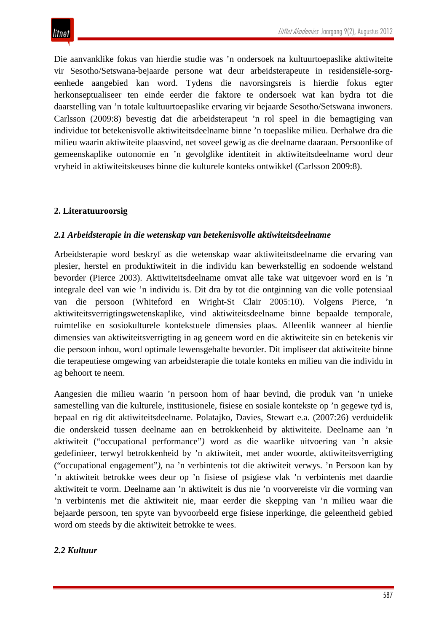Die aanvanklike fokus van hierdie studie was 'n ondersoek na kultuurtoepaslike aktiwiteite vir Sesotho/Setswana-bejaarde persone wat deur arbeidsterapeute in residensiële-sorgeenhede aangebied kan word. Tydens die navorsingsreis is hierdie fokus egter herkonseptualiseer ten einde eerder die faktore te ondersoek wat kan bydra tot die daarstelling van 'n totale kultuurtoepaslike ervaring vir bejaarde Sesotho/Setswana inwoners. Carlsson (2009:8) bevestig dat die arbeidsterapeut 'n rol speel in die bemagtiging van individue tot betekenisvolle aktiwiteitsdeelname binne 'n toepaslike milieu. Derhalwe dra die milieu waarin aktiwiteite plaasvind, net soveel gewig as die deelname daaraan. Persoonlike of gemeenskaplike outonomie en 'n gevolglike identiteit in aktiwiteitsdeelname word deur vryheid in aktiwiteitskeuses binne die kulturele konteks ontwikkel (Carlsson 2009:8).

## **2. Literatuuroorsig**

## *2.1 Arbeidsterapie in die wetenskap van betekenisvolle aktiwiteitsdeelname*

Arbeidsterapie word beskryf as die wetenskap waar aktiwiteitsdeelname die ervaring van plesier, herstel en produktiwiteit in die individu kan bewerkstellig en sodoende welstand bevorder (Pierce 2003). Aktiwiteitsdeelname omvat alle take wat uitgevoer word en is 'n integrale deel van wie 'n individu is. Dit dra by tot die ontginning van die volle potensiaal van die persoon (Whiteford en Wright-St Clair 2005:10). Volgens Pierce, 'n aktiwiteitsverrigtingswetenskaplike, vind aktiwiteitsdeelname binne bepaalde temporale, ruimtelike en sosiokulturele kontekstuele dimensies plaas. Alleenlik wanneer al hierdie dimensies van aktiwiteitsverrigting in ag geneem word en die aktiwiteite sin en betekenis vir die persoon inhou, word optimale lewensgehalte bevorder. Dit impliseer dat aktiwiteite binne die terapeutiese omgewing van arbeidsterapie die totale konteks en milieu van die individu in ag behoort te neem.

Aangesien die milieu waarin 'n persoon hom of haar bevind, die produk van 'n unieke samestelling van die kulturele, institusionele, fisiese en sosiale kontekste op 'n gegewe tyd is, bepaal en rig dit aktiwiteitsdeelname. Polatajko, Davies, Stewart e.a. (2007:26) verduidelik die onderskeid tussen deelname aan en betrokkenheid by aktiwiteite. Deelname aan 'n aktiwiteit ("occupational performance"*)* word as die waarlike uitvoering van 'n aksie gedefinieer, terwyl betrokkenheid by 'n aktiwiteit, met ander woorde, aktiwiteitsverrigting ("occupational engagement"*),* na 'n verbintenis tot die aktiwiteit verwys. 'n Persoon kan by 'n aktiwiteit betrokke wees deur op 'n fisiese of psigiese vlak 'n verbintenis met daardie aktiwiteit te vorm. Deelname aan 'n aktiwiteit is dus nie 'n voorvereiste vir die vorming van 'n verbintenis met die aktiwiteit nie, maar eerder die skepping van 'n milieu waar die bejaarde persoon, ten spyte van byvoorbeeld erge fisiese inperkinge, die geleentheid gebied word om steeds by die aktiwiteit betrokke te wees.

## *2.2 Kultuur*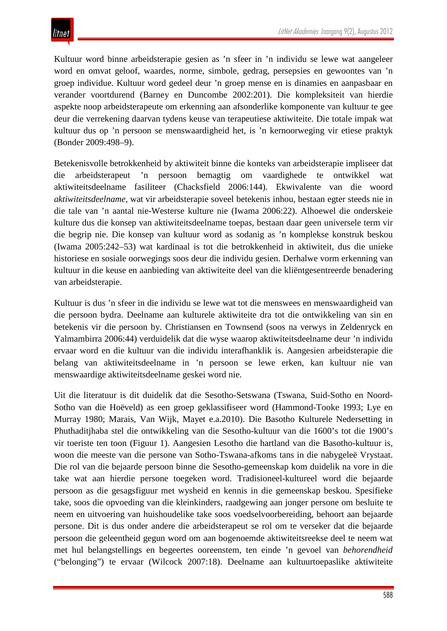Kultuur word binne arbeidsterapie gesien as 'n sfeer in 'n individu se lewe wat aangeleer word en omvat geloof, waardes, norme, simbole, gedrag, persepsies en gewoontes van 'n groep individue. Kultuur word gedeel deur 'n groep mense en is dinamies en aanpasbaar en verander voortdurend (Barney en Duncombe 2002:201). Die kompleksiteit van hierdie aspekte noop arbeidsterapeute om erkenning aan afsonderlike komponente van kultuur te gee deur die verrekening daarvan tydens keuse van terapeutiese aktiwiteite. Die totale impak wat kultuur dus op 'n persoon se menswaardigheid het, is 'n kernoorweging vir etiese praktyk (Bonder 2009:498–9).

Betekenisvolle betrokkenheid by aktiwiteit binne die konteks van arbeidsterapie impliseer dat die arbeidsterapeut 'n persoon bemagtig om vaardighede te ontwikkel wat aktiwiteitsdeelname fasiliteer (Chacksfield 2006:144). Ekwivalente van die woord *aktiwiteitsdeelname*, wat vir arbeidsterapie soveel betekenis inhou, bestaan egter steeds nie in die tale van 'n aantal nie-Westerse kulture nie (Iwama 2006:22). Alhoewel die onderskeie kulture dus die konsep van aktiwiteitsdeelname toepas, bestaan daar geen universele term vir die begrip nie. Die konsep van kultuur word as sodanig as 'n komplekse konstruk beskou (Iwama 2005:242–53) wat kardinaal is tot die betrokkenheid in aktiwiteit, dus die unieke historiese en sosiale oorwegings soos deur die individu gesien. Derhalwe vorm erkenning van kultuur in die keuse en aanbieding van aktiwiteite deel van die kliëntgesentreerde benadering van arbeidsterapie.

Kultuur is dus 'n sfeer in die individu se lewe wat tot die menswees en menswaardigheid van die persoon bydra. Deelname aan kulturele aktiwiteite dra tot die ontwikkeling van sin en betekenis vir die persoon by. Christiansen en Townsend (soos na verwys in Zeldenryck en Yalmambirra 2006:44) verduidelik dat die wyse waarop aktiwiteitsdeelname deur 'n individu ervaar word en die kultuur van die individu interafhanklik is. Aangesien arbeidsterapie die belang van aktiwiteitsdeelname in 'n persoon se lewe erken, kan kultuur nie van menswaardige aktiwiteitsdeelname geskei word nie.

Uit die literatuur is dit duidelik dat die Sesotho-Setswana (Tswana, Suid-Sotho en Noord-Sotho van die Hoëveld) as een groep geklassifiseer word (Hammond-Tooke 1993; Lye en Murray 1980; Marais, Van Wijk, Mayet e.a.2010). Die Basotho Kulturele Nedersetting in Phuthaditjhaba stel die ontwikkeling van die Sesotho-kultuur van die 1600's tot die 1900's vir toeriste ten toon (Figuur 1). Aangesien Lesotho die hartland van die Basotho-kultuur is, woon die meeste van die persone van Sotho-Tswana-afkoms tans in die nabygeleë Vrystaat. Die rol van die bejaarde persoon binne die Sesotho-gemeenskap kom duidelik na vore in die take wat aan hierdie persone toegeken word. Tradisioneel-kultureel word die bejaarde persoon as die gesagsfiguur met wysheid en kennis in die gemeenskap beskou. Spesifieke take, soos die opvoeding van die kleinkinders, raadgewing aan jonger persone om besluite te neem en uitvoering van huishoudelike take soos voedselvoorbereiding, behoort aan bejaarde persone. Dit is dus onder andere die arbeidsterapeut se rol om te verseker dat die bejaarde persoon die geleentheid gegun word om aan bogenoemde aktiwiteitsreekse deel te neem wat met hul belangstellings en begeertes ooreenstem, ten einde 'n gevoel van *behorendheid* ("belonging") te ervaar (Wilcock 2007:18). Deelname aan kultuurtoepaslike aktiwiteite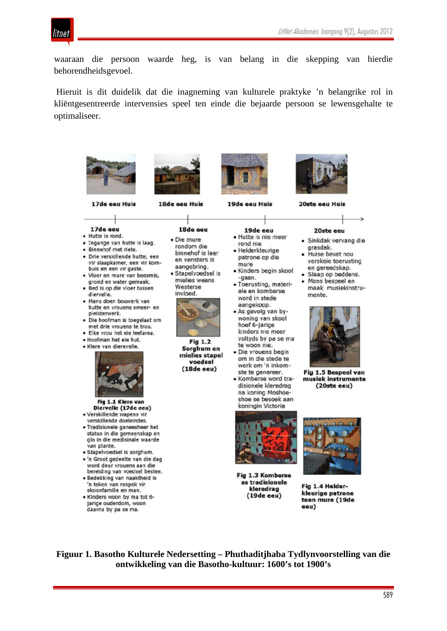

waaraan die persoon waarde heg, is van belang in die skepping van hierdie behorendheidsgevoel.

Hieruit is dit duidelik dat die inagneming van kulturele praktyke 'n belangrike rol in kliëntgesentreerde intervensies speel ten einde die bejaarde persoon se lewensgehalte te optimaliseer.



**Figuur 1. Basotho Kulturele Nedersetting – Phuthaditjhaba Tydlynvoorstelling van die ontwikkeling van die Basotho-kultuur: 1600's tot 1900's**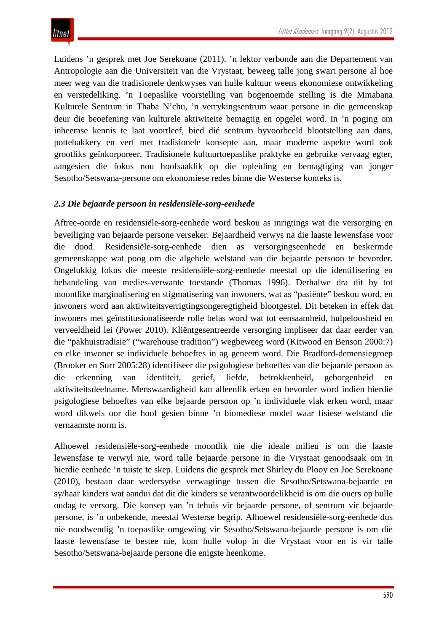Luidens 'n gesprek met Joe Serekoane (2011), 'n lektor verbonde aan die Departement van Antropologie aan die Universiteit van die Vrystaat, beweeg talle jong swart persone al hoe meer weg van die tradisionele denkwyses van hulle kultuur weens ekonomiese ontwikkeling en verstedeliking. 'n Toepaslike voorstelling van bogenoemde stelling is die Mmabana Kulturele Sentrum in Thaba N'chu, 'n verrykingsentrum waar persone in die gemeenskap deur die beoefening van kulturele aktiwiteite bemagtig en opgelei word. In 'n poging om inheemse kennis te laat voortleef, bied dié sentrum byvoorbeeld blootstelling aan dans, pottebakkery en verf met tradisionele konsepte aan, maar moderne aspekte word ook grootliks geïnkorporeer. Tradisionele kultuurtoepaslike praktyke en gebruike vervaag egter, aangesien die fokus nou hoofsaaklik op die opleiding en bemagtiging van jonger Sesotho/Setswana-persone om ekonomiese redes binne die Westerse konteks is.

## *2.3 Die bejaarde persoon in residensiële-sorg-eenhede*

Aftree-oorde en residensiële-sorg-eenhede word beskou as inrigtings wat die versorging en beveiliging van bejaarde persone verseker. Bejaardheid verwys na die laaste lewensfase voor die dood. Residensiële-sorg-eenhede dien as versorgingseenhede en beskermde gemeenskappe wat poog om die algehele welstand van die bejaarde persoon te bevorder. Ongelukkig fokus die meeste residensiële-sorg-eenhede meestal op die identifisering en behandeling van medies-verwante toestande (Thomas 1996). Derhalwe dra dit by tot moontlike marginalisering en stigmatisering van inwoners, wat as "pasiënte" beskou word, en inwoners word aan aktiwiteitsverrigtingsongeregtigheid blootgestel. Dit beteken in effek dat inwoners met geïnstitusionaliseerde rolle belas word wat tot eensaamheid, hulpeloosheid en verveeldheid lei (Power 2010). Kliëntgesentreerde versorging impliseer dat daar eerder van die "pakhuistradisie" ("warehouse tradition") wegbeweeg word (Kitwood en Benson 2000:7) en elke inwoner se individuele behoeftes in ag geneem word. Die Bradford-demensiegroep (Brooker en Surr 2005:28) identifiseer die psigologiese behoeftes van die bejaarde persoon as die erkenning van identiteit, gerief, liefde, betrokkenheid, geborgenheid en aktiwiteitsdeelname. Menswaardigheid kan alleenlik erken en bevorder word indien hierdie psigologiese behoeftes van elke bejaarde persoon op 'n individuele vlak erken word, maar word dikwels oor die hoof gesien binne 'n biomediese model waar fisiese welstand die vernaamste norm is.

Alhoewel residensiële-sorg-eenhede moontlik nie die ideale milieu is om die laaste lewensfase te verwyl nie, word talle bejaarde persone in die Vrystaat genoodsaak om in hierdie eenhede 'n tuiste te skep. Luidens die gesprek met Shirley du Plooy en Joe Serekoane (2010), bestaan daar wedersydse verwagtinge tussen die Sesotho/Setswana-bejaarde en sy/haar kinders wat aandui dat dit die kinders se verantwoordelikheid is om die ouers op hulle oudag te versorg. Die konsep van 'n tehuis vir bejaarde persone, of sentrum vir bejaarde persone, is 'n onbekende, meestal Westerse begrip. Alhoewel residensiële-sorg-eenhede dus nie noodwendig 'n toepaslike omgewing vir Sesotho/Setswana-bejaarde persone is om die laaste lewensfase te bestee nie, kom hulle volop in die Vrystaat voor en is vir talle Sesotho/Setswana-bejaarde persone die enigste heenkome.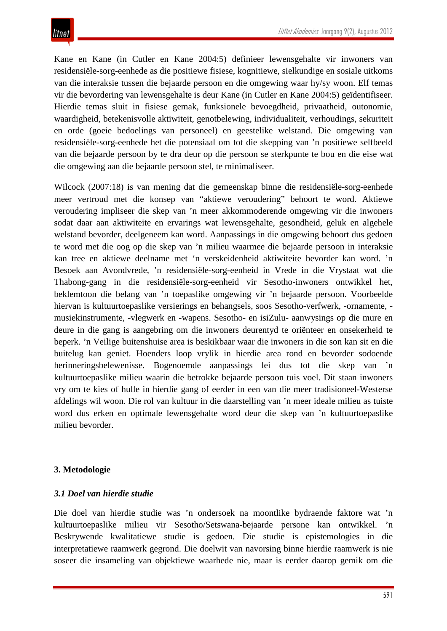Kane en Kane (in Cutler en Kane 2004:5) definieer lewensgehalte vir inwoners van residensiële-sorg-eenhede as die positiewe fisiese, kognitiewe, sielkundige en sosiale uitkoms van die interaksie tussen die bejaarde persoon en die omgewing waar hy/sy woon. Elf temas vir die bevordering van lewensgehalte is deur Kane (in Cutler en Kane 2004:5) geïdentifiseer. Hierdie temas sluit in fisiese gemak, funksionele bevoegdheid, privaatheid, outonomie, waardigheid, betekenisvolle aktiwiteit, genotbelewing, individualiteit, verhoudings, sekuriteit en orde (goeie bedoelings van personeel) en geestelike welstand. Die omgewing van residensiële-sorg-eenhede het die potensiaal om tot die skepping van 'n positiewe selfbeeld van die bejaarde persoon by te dra deur op die persoon se sterkpunte te bou en die eise wat die omgewing aan die bejaarde persoon stel, te minimaliseer.

Wilcock (2007:18) is van mening dat die gemeenskap binne die residensiële-sorg-eenhede meer vertroud met die konsep van "aktiewe veroudering" behoort te word. Aktiewe veroudering impliseer die skep van 'n meer akkommoderende omgewing vir die inwoners sodat daar aan aktiwiteite en ervarings wat lewensgehalte, gesondheid, geluk en algehele welstand bevorder, deelgeneem kan word. Aanpassings in die omgewing behoort dus gedoen te word met die oog op die skep van 'n milieu waarmee die bejaarde persoon in interaksie kan tree en aktiewe deelname met 'n verskeidenheid aktiwiteite bevorder kan word. 'n Besoek aan Avondvrede, 'n residensiële-sorg-eenheid in Vrede in die Vrystaat wat die Thabong-gang in die residensiële-sorg-eenheid vir Sesotho-inwoners ontwikkel het, beklemtoon die belang van 'n toepaslike omgewing vir 'n bejaarde persoon. Voorbeelde hiervan is kultuurtoepaslike versierings en behangsels, soos Sesotho-verfwerk, -ornamente, musiekinstrumente, -vlegwerk en -wapens. Sesotho- en isiZulu- aanwysings op die mure en deure in die gang is aangebring om die inwoners deurentyd te oriënteer en onsekerheid te beperk. 'n Veilige buitenshuise area is beskikbaar waar die inwoners in die son kan sit en die buitelug kan geniet. Hoenders loop vrylik in hierdie area rond en bevorder sodoende herinneringsbelewenisse. Bogenoemde aanpassings lei dus tot die skep van 'n kultuurtoepaslike milieu waarin die betrokke bejaarde persoon tuis voel. Dit staan inwoners vry om te kies of hulle in hierdie gang of eerder in een van die meer tradisioneel-Westerse afdelings wil woon. Die rol van kultuur in die daarstelling van 'n meer ideale milieu as tuiste word dus erken en optimale lewensgehalte word deur die skep van 'n kultuurtoepaslike milieu bevorder.

## **3. Metodologie**

## *3.1 Doel van hierdie studie*

Die doel van hierdie studie was 'n ondersoek na moontlike bydraende faktore wat 'n kultuurtoepaslike milieu vir Sesotho/Setswana-bejaarde persone kan ontwikkel. 'n Beskrywende kwalitatiewe studie is gedoen. Die studie is epistemologies in die interpretatiewe raamwerk gegrond. Die doelwit van navorsing binne hierdie raamwerk is nie soseer die insameling van objektiewe waarhede nie, maar is eerder daarop gemik om die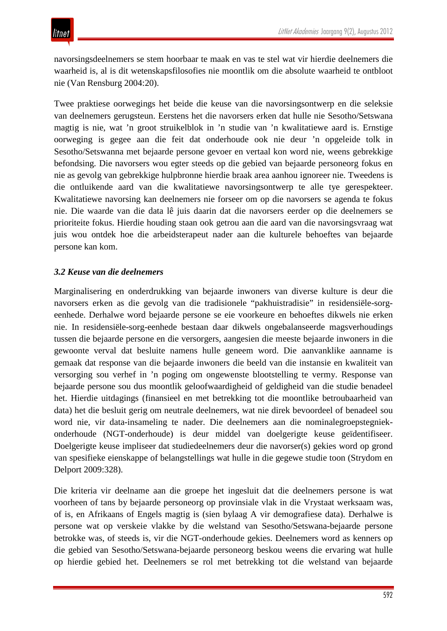navorsingsdeelnemers se stem hoorbaar te maak en vas te stel wat vir hierdie deelnemers die waarheid is, al is dit wetenskapsfilosofies nie moontlik om die absolute waarheid te ontbloot nie (Van Rensburg 2004:20).

Twee praktiese oorwegings het beide die keuse van die navorsingsontwerp en die seleksie van deelnemers gerugsteun. Eerstens het die navorsers erken dat hulle nie Sesotho/Setswana magtig is nie, wat 'n groot struikelblok in 'n studie van 'n kwalitatiewe aard is. Ernstige oorweging is gegee aan die feit dat onderhoude ook nie deur 'n opgeleide tolk in Sesotho/Setswanna met bejaarde persone gevoer en vertaal kon word nie, weens gebrekkige befondsing. Die navorsers wou egter steeds op die gebied van bejaarde personeorg fokus en nie as gevolg van gebrekkige hulpbronne hierdie braak area aanhou ignoreer nie. Tweedens is die ontluikende aard van die kwalitatiewe navorsingsontwerp te alle tye gerespekteer. Kwalitatiewe navorsing kan deelnemers nie forseer om op die navorsers se agenda te fokus nie. Die waarde van die data lê juis daarin dat die navorsers eerder op die deelnemers se prioriteite fokus. Hierdie houding staan ook getrou aan die aard van die navorsingsvraag wat juis wou ontdek hoe die arbeidsterapeut nader aan die kulturele behoeftes van bejaarde persone kan kom.

#### *3.2 Keuse van die deelnemers*

Marginalisering en onderdrukking van bejaarde inwoners van diverse kulture is deur die navorsers erken as die gevolg van die tradisionele "pakhuistradisie" in residensiële-sorgeenhede. Derhalwe word bejaarde persone se eie voorkeure en behoeftes dikwels nie erken nie. In residensiële-sorg-eenhede bestaan daar dikwels ongebalanseerde magsverhoudings tussen die bejaarde persone en die versorgers, aangesien die meeste bejaarde inwoners in die gewoonte verval dat besluite namens hulle geneem word. Die aanvanklike aanname is gemaak dat response van die bejaarde inwoners die beeld van die instansie en kwaliteit van versorging sou verhef in 'n poging om ongewenste blootstelling te vermy. Response van bejaarde persone sou dus moontlik geloofwaardigheid of geldigheid van die studie benadeel het. Hierdie uitdagings (finansieel en met betrekking tot die moontlike betroubaarheid van data) het die besluit gerig om neutrale deelnemers, wat nie direk bevoordeel of benadeel sou word nie, vir data-insameling te nader. Die deelnemers aan die nominalegroepstegniekonderhoude (NGT-onderhoude) is deur middel van doelgerigte keuse geïdentifiseer. Doelgerigte keuse impliseer dat studiedeelnemers deur die navorser(s) gekies word op grond van spesifieke eienskappe of belangstellings wat hulle in die gegewe studie toon (Strydom en Delport 2009:328).

Die kriteria vir deelname aan die groepe het ingesluit dat die deelnemers persone is wat voorheen of tans by bejaarde personeorg op provinsiale vlak in die Vrystaat werksaam was, of is, en Afrikaans of Engels magtig is (sien bylaag A vir demografiese data). Derhalwe is persone wat op verskeie vlakke by die welstand van Sesotho/Setswana-bejaarde persone betrokke was, of steeds is, vir die NGT-onderhoude gekies. Deelnemers word as kenners op die gebied van Sesotho/Setswana-bejaarde personeorg beskou weens die ervaring wat hulle op hierdie gebied het. Deelnemers se rol met betrekking tot die welstand van bejaarde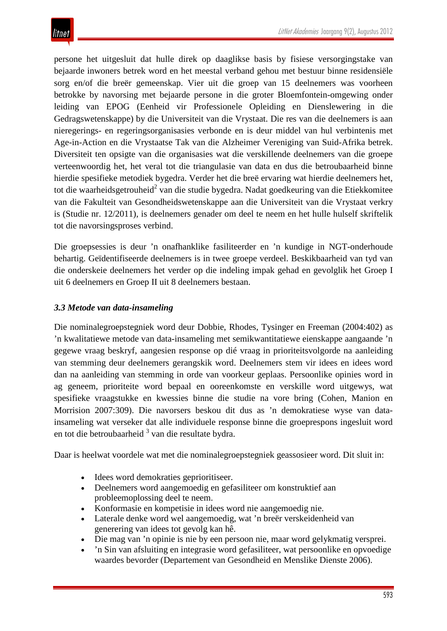persone het uitgesluit dat hulle direk op daaglikse basis by fisiese versorgingstake van bejaarde inwoners betrek word en het meestal verband gehou met bestuur binne residensiële sorg en/of die breër gemeenskap. Vier uit die groep van 15 deelnemers was voorheen betrokke by navorsing met bejaarde persone in die groter Bloemfontein-omgewing onder leiding van EPOG (Eenheid vir Professionele Opleiding en Dienslewering in die Gedragswetenskappe) by die Universiteit van die Vrystaat. Die res van die deelnemers is aan nieregerings- en regeringsorganisasies verbonde en is deur middel van hul verbintenis met Age-in-Action en die Vrystaatse Tak van die Alzheimer Vereniging van Suid-Afrika betrek. Diversiteit ten opsigte van die organisasies wat die verskillende deelnemers van die groepe verteenwoordig het, het veral tot die triangulasie van data en dus die betroubaarheid binne hierdie spesifieke metodiek bygedra. Verder het die breë ervaring wat hierdie deelnemers het, tot die waarheidsgetrouheid<sup>2</sup> van die studie bygedra. Nadat goedkeuring van die Etiekkomitee van die Fakulteit van Gesondheidswetenskappe aan die Universiteit van die Vrystaat verkry is (Studie nr. 12/2011), is deelnemers genader om deel te neem en het hulle hulself skriftelik tot die navorsingsproses verbind.

Die groepsessies is deur 'n onafhanklike fasiliteerder en 'n kundige in NGT-onderhoude behartig. Geïdentifiseerde deelnemers is in twee groepe verdeel. Beskikbaarheid van tyd van die onderskeie deelnemers het verder op die indeling impak gehad en gevolglik het Groep I uit 6 deelnemers en Groep II uit 8 deelnemers bestaan.

## *3.3 Metode van data-insameling*

Die nominalegroepstegniek word deur Dobbie, Rhodes, Tysinger en Freeman (2004:402) as 'n kwalitatiewe metode van data-insameling met semikwantitatiewe eienskappe aangaande 'n gegewe vraag beskryf, aangesien response op dié vraag in prioriteitsvolgorde na aanleiding van stemming deur deelnemers gerangskik word. Deelnemers stem vir idees en idees word dan na aanleiding van stemming in orde van voorkeur geplaas. Persoonlike opinies word in ag geneem, prioriteite word bepaal en ooreenkomste en verskille word uitgewys, wat spesifieke vraagstukke en kwessies binne die studie na vore bring (Cohen, Manion en Morrision 2007:309). Die navorsers beskou dit dus as 'n demokratiese wyse van datainsameling wat verseker dat alle individuele response binne die groeprespons ingesluit word en tot die betroubaarheid <sup>3</sup> van die resultate bydra.

Daar is heelwat voordele wat met die nominalegroepstegniek geassosieer word. Dit sluit in:

- Idees word demokraties geprioritiseer.
- Deelnemers word aangemoedig en gefasiliteer om konstruktief aan probleemoplossing deel te neem.
- Konformasie en kompetisie in idees word nie aangemoedig nie.
- Laterale denke word wel aangemoedig, wat 'n breër verskeidenheid van generering van idees tot gevolg kan hê.
- Die mag van 'n opinie is nie by een persoon nie, maar word gelykmatig versprei.
- 'n Sin van afsluiting en integrasie word gefasiliteer, wat persoonlike en opvoedige waardes bevorder (Departement van Gesondheid en Menslike Dienste 2006).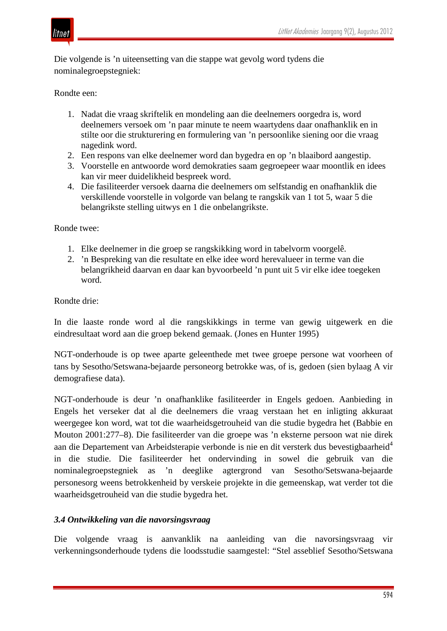

Die volgende is 'n uiteensetting van die stappe wat gevolg word tydens die nominalegroepstegniek:

#### Rondte een:

- 1. Nadat die vraag skriftelik en mondeling aan die deelnemers oorgedra is, word deelnemers versoek om 'n paar minute te neem waartydens daar onafhanklik en in stilte oor die strukturering en formulering van 'n persoonlike siening oor die vraag nagedink word.
- 2. Een respons van elke deelnemer word dan bygedra en op 'n blaaibord aangestip.
- 3. Voorstelle en antwoorde word demokraties saam gegroepeer waar moontlik en idees kan vir meer duidelikheid bespreek word.
- 4. Die fasiliteerder versoek daarna die deelnemers om selfstandig en onafhanklik die verskillende voorstelle in volgorde van belang te rangskik van 1 tot 5, waar 5 die belangrikste stelling uitwys en 1 die onbelangrikste.

Ronde twee:

- 1. Elke deelnemer in die groep se rangskikking word in tabelvorm voorgelê.
- 2. 'n Bespreking van die resultate en elke idee word herevalueer in terme van die belangrikheid daarvan en daar kan byvoorbeeld 'n punt uit 5 vir elke idee toegeken word.

#### Rondte drie:

In die laaste ronde word al die rangskikkings in terme van gewig uitgewerk en die eindresultaat word aan die groep bekend gemaak. (Jones en Hunter 1995)

NGT-onderhoude is op twee aparte geleenthede met twee groepe persone wat voorheen of tans by Sesotho/Setswana-bejaarde personeorg betrokke was, of is, gedoen (sien bylaag A vir demografiese data).

NGT-onderhoude is deur 'n onafhanklike fasiliteerder in Engels gedoen. Aanbieding in Engels het verseker dat al die deelnemers die vraag verstaan het en inligting akkuraat weergegee kon word, wat tot die waarheidsgetrouheid van die studie bygedra het (Babbie en Mouton 2001:277–8). Die fasiliteerder van die groepe was 'n eksterne persoon wat nie direk aan die Departement van Arbeidsterapie verbonde is nie en dit versterk dus bevestigbaarheid<sup>4</sup> in die studie. Die fasiliteerder het ondervinding in sowel die gebruik van die nominalegroepstegniek as 'n deeglike agtergrond van Sesotho/Setswana-bejaarde personesorg weens betrokkenheid by verskeie projekte in die gemeenskap, wat verder tot die waarheidsgetrouheid van die studie bygedra het.

#### *3.4 Ontwikkeling van die navorsingsvraag*

Die volgende vraag is aanvanklik na aanleiding van die navorsingsvraag vir verkenningsonderhoude tydens die loodsstudie saamgestel: "Stel asseblief Sesotho/Setswana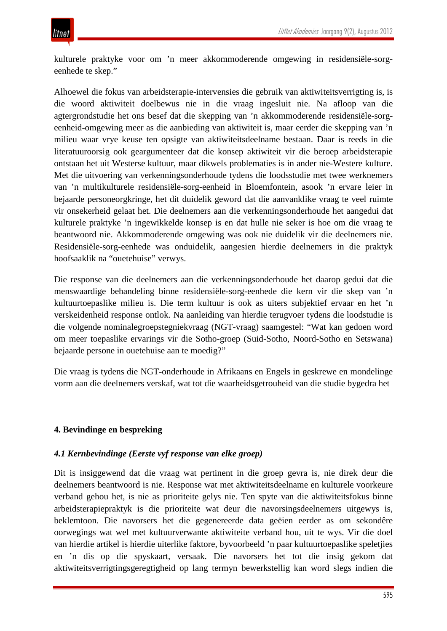kulturele praktyke voor om 'n meer akkommoderende omgewing in residensiële-sorgeenhede te skep."

Alhoewel die fokus van arbeidsterapie-intervensies die gebruik van aktiwiteitsverrigting is, is die woord aktiwiteit doelbewus nie in die vraag ingesluit nie. Na afloop van die agtergrondstudie het ons besef dat die skepping van 'n akkommoderende residensiële-sorgeenheid-omgewing meer as die aanbieding van aktiwiteit is, maar eerder die skepping van 'n milieu waar vrye keuse ten opsigte van aktiwiteitsdeelname bestaan. Daar is reeds in die literatuuroorsig ook geargumenteer dat die konsep aktiwiteit vir die beroep arbeidsterapie ontstaan het uit Westerse kultuur, maar dikwels problematies is in ander nie-Westere kulture. Met die uitvoering van verkenningsonderhoude tydens die loodsstudie met twee werknemers van 'n multikulturele residensiële-sorg-eenheid in Bloemfontein, asook 'n ervare leier in bejaarde personeorgkringe, het dit duidelik geword dat die aanvanklike vraag te veel ruimte vir onsekerheid gelaat het. Die deelnemers aan die verkenningsonderhoude het aangedui dat kulturele praktyke 'n ingewikkelde konsep is en dat hulle nie seker is hoe om die vraag te beantwoord nie. Akkommoderende omgewing was ook nie duidelik vir die deelnemers nie. Residensiële-sorg-eenhede was onduidelik, aangesien hierdie deelnemers in die praktyk hoofsaaklik na "ouetehuise" verwys.

Die response van die deelnemers aan die verkenningsonderhoude het daarop gedui dat die menswaardige behandeling binne residensiële-sorg-eenhede die kern vir die skep van 'n kultuurtoepaslike milieu is. Die term kultuur is ook as uiters subjektief ervaar en het 'n verskeidenheid response ontlok. Na aanleiding van hierdie terugvoer tydens die loodstudie is die volgende nominalegroepstegniekvraag (NGT-vraag) saamgestel: "Wat kan gedoen word om meer toepaslike ervarings vir die Sotho-groep (Suid-Sotho, Noord-Sotho en Setswana) bejaarde persone in ouetehuise aan te moedig?"

Die vraag is tydens die NGT-onderhoude in Afrikaans en Engels in geskrewe en mondelinge vorm aan die deelnemers verskaf, wat tot die waarheidsgetrouheid van die studie bygedra het

## **4. Bevindinge en bespreking**

## *4.1 Kernbevindinge (Eerste vyf response van elke groep)*

Dit is insiggewend dat die vraag wat pertinent in die groep gevra is, nie direk deur die deelnemers beantwoord is nie. Response wat met aktiwiteitsdeelname en kulturele voorkeure verband gehou het, is nie as prioriteite gelys nie. Ten spyte van die aktiwiteitsfokus binne arbeidsterapiepraktyk is die prioriteite wat deur die navorsingsdeelnemers uitgewys is, beklemtoon. Die navorsers het die gegenereerde data geëien eerder as om sekondêre oorwegings wat wel met kultuurverwante aktiwiteite verband hou, uit te wys. Vir die doel van hierdie artikel is hierdie uiterlike faktore, byvoorbeeld 'n paar kultuurtoepaslike speletjies en 'n dis op die spyskaart, versaak. Die navorsers het tot die insig gekom dat aktiwiteitsverrigtingsgeregtigheid op lang termyn bewerkstellig kan word slegs indien die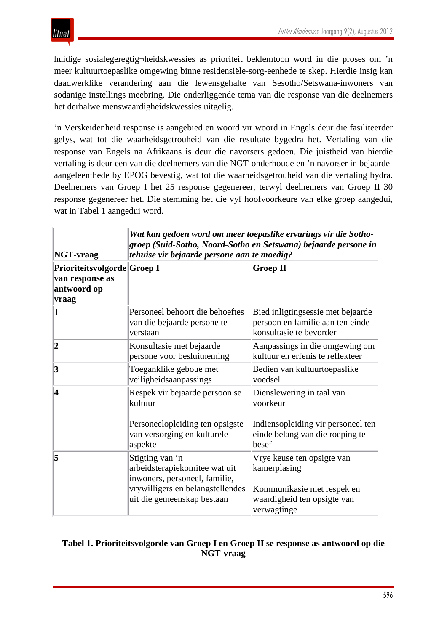

huidige sosialegeregtig¬heidskwessies as prioriteit beklemtoon word in die proses om 'n meer kultuurtoepaslike omgewing binne residensiële-sorg-eenhede te skep. Hierdie insig kan daadwerklike verandering aan die lewensgehalte van Sesotho/Setswana-inwoners van sodanige instellings meebring. Die onderliggende tema van die response van die deelnemers het derhalwe menswaardigheidskwessies uitgelig.

'n Verskeidenheid response is aangebied en woord vir woord in Engels deur die fasiliteerder gelys, wat tot die waarheidsgetrouheid van die resultate bygedra het. Vertaling van die response van Engels na Afrikaans is deur die navorsers gedoen. Die juistheid van hierdie vertaling is deur een van die deelnemers van die NGT-onderhoude en 'n navorser in bejaardeaangeleenthede by EPOG bevestig, wat tot die waarheidsgetrouheid van die vertaling bydra. Deelnemers van Groep I het 25 response gegenereer, terwyl deelnemers van Groep II 30 response gegenereer het. Die stemming het die vyf hoofvoorkeure van elke groep aangedui, wat in Tabel 1 aangedui word.

| NGT-vraag                                                              | Wat kan gedoen word om meer toepaslike ervarings vir die Sotho-<br>groep (Suid-Sotho, Noord-Sotho en Setswana) bejaarde persone in<br>tehuise vir bejaarde persone aan te moedig? |                                                                                                                         |  |  |  |  |  |
|------------------------------------------------------------------------|-----------------------------------------------------------------------------------------------------------------------------------------------------------------------------------|-------------------------------------------------------------------------------------------------------------------------|--|--|--|--|--|
| Prioriteitsvolgorde Groep I<br>van response as<br>antwoord op<br>vraag |                                                                                                                                                                                   | <b>Groep II</b>                                                                                                         |  |  |  |  |  |
| $\mathbf 1$                                                            | Personeel behoort die behoeftes<br>van die bejaarde persone te<br>verstaan                                                                                                        | Bied inligtingsessie met bejaarde<br>persoon en familie aan ten einde<br>konsultasie te bevorder                        |  |  |  |  |  |
| $\vert$ 2                                                              | Konsultasie met bejaarde<br>persone voor besluitneming                                                                                                                            | Aanpassings in die omgewing om<br>kultuur en erfenis te reflekteer                                                      |  |  |  |  |  |
| $ 3\rangle$                                                            | Toeganklike geboue met<br>veiligheidsaanpassings                                                                                                                                  | Bedien van kultuurtoepaslike<br>voedsel                                                                                 |  |  |  |  |  |
| 4                                                                      | Respek vir bejaarde persoon se<br>kultuur<br>Personeelopleiding ten opsigste<br>van versorging en kulturele<br>aspekte                                                            | Dienslewering in taal van<br>voorkeur<br>Indiensopleiding vir personeel ten<br>einde belang van die roeping te<br>besef |  |  |  |  |  |
| 5                                                                      | Stigting van 'n<br>arbeidsterapiekomitee wat uit<br>inwoners, personeel, familie,<br>vrywilligers en belangstellendes<br>uit die gemeenskap bestaan                               | Vrye keuse ten opsigte van<br>kamerplasing<br>Kommunikasie met respek en<br>waardigheid ten opsigte van<br>verwagtinge  |  |  |  |  |  |

## **Tabel 1. Prioriteitsvolgorde van Groep I en Groep II se response as antwoord op die NGT-vraag**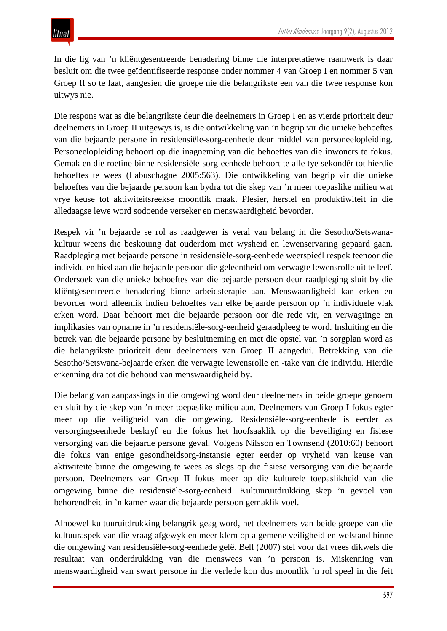In die lig van 'n kliëntgesentreerde benadering binne die interpretatiewe raamwerk is daar besluit om die twee geïdentifiseerde response onder nommer 4 van Groep I en nommer 5 van Groep II so te laat, aangesien die groepe nie die belangrikste een van die twee response kon uitwys nie.

Die respons wat as die belangrikste deur die deelnemers in Groep I en as vierde prioriteit deur deelnemers in Groep II uitgewys is, is die ontwikkeling van 'n begrip vir die unieke behoeftes van die bejaarde persone in residensiële-sorg-eenhede deur middel van personeelopleiding. Personeelopleiding behoort op die inagneming van die behoeftes van die inwoners te fokus. Gemak en die roetine binne residensiële-sorg-eenhede behoort te alle tye sekondêr tot hierdie behoeftes te wees (Labuschagne 2005:563). Die ontwikkeling van begrip vir die unieke behoeftes van die bejaarde persoon kan bydra tot die skep van 'n meer toepaslike milieu wat vrye keuse tot aktiwiteitsreekse moontlik maak. Plesier, herstel en produktiwiteit in die alledaagse lewe word sodoende verseker en menswaardigheid bevorder.

Respek vir 'n bejaarde se rol as raadgewer is veral van belang in die Sesotho/Setswanakultuur weens die beskouing dat ouderdom met wysheid en lewenservaring gepaard gaan. Raadpleging met bejaarde persone in residensiële-sorg-eenhede weerspieël respek teenoor die individu en bied aan die bejaarde persoon die geleentheid om verwagte lewensrolle uit te leef. Ondersoek van die unieke behoeftes van die bejaarde persoon deur raadpleging sluit by die kliëntgesentreerde benadering binne arbeidsterapie aan. Menswaardigheid kan erken en bevorder word alleenlik indien behoeftes van elke bejaarde persoon op 'n individuele vlak erken word. Daar behoort met die bejaarde persoon oor die rede vir, en verwagtinge en implikasies van opname in 'n residensiële-sorg-eenheid geraadpleeg te word. Insluiting en die betrek van die bejaarde persone by besluitneming en met die opstel van 'n sorgplan word as die belangrikste prioriteit deur deelnemers van Groep II aangedui. Betrekking van die Sesotho/Setswana-bejaarde erken die verwagte lewensrolle en -take van die individu. Hierdie erkenning dra tot die behoud van menswaardigheid by.

Die belang van aanpassings in die omgewing word deur deelnemers in beide groepe genoem en sluit by die skep van 'n meer toepaslike milieu aan. Deelnemers van Groep I fokus egter meer op die veiligheid van die omgewing. Residensiële-sorg-eenhede is eerder as versorgingseenhede beskryf en die fokus het hoofsaaklik op die beveiliging en fisiese versorging van die bejaarde persone geval. Volgens Nilsson en Townsend (2010:60) behoort die fokus van enige gesondheidsorg-instansie egter eerder op vryheid van keuse van aktiwiteite binne die omgewing te wees as slegs op die fisiese versorging van die bejaarde persoon. Deelnemers van Groep II fokus meer op die kulturele toepaslikheid van die omgewing binne die residensiële-sorg-eenheid. Kultuuruitdrukking skep 'n gevoel van behorendheid in 'n kamer waar die bejaarde persoon gemaklik voel.

Alhoewel kultuuruitdrukking belangrik geag word, het deelnemers van beide groepe van die kultuuraspek van die vraag afgewyk en meer klem op algemene veiligheid en welstand binne die omgewing van residensiële-sorg-eenhede gelê. Bell (2007) stel voor dat vrees dikwels die resultaat van onderdrukking van die menswees van 'n persoon is. Miskenning van menswaardigheid van swart persone in die verlede kon dus moontlik 'n rol speel in die feit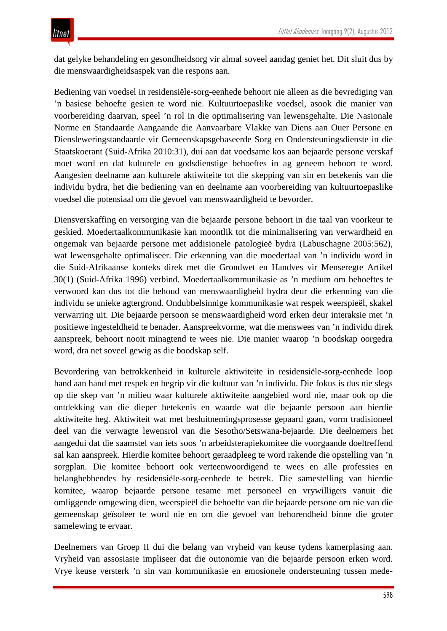dat gelyke behandeling en gesondheidsorg vir almal soveel aandag geniet het. Dit sluit dus by die menswaardigheidsaspek van die respons aan.

Bediening van voedsel in residensiële-sorg-eenhede behoort nie alleen as die bevrediging van 'n basiese behoefte gesien te word nie. Kultuurtoepaslike voedsel, asook die manier van voorbereiding daarvan, speel 'n rol in die optimalisering van lewensgehalte. Die Nasionale Norme en Standaarde Aangaande die Aanvaarbare Vlakke van Diens aan Ouer Persone en Diensleweringstandaarde vir Gemeenskapsgebaseerde Sorg en Ondersteuningsdienste in die Staatskoerant (Suid-Afrika 2010:31), dui aan dat voedsame kos aan bejaarde persone verskaf moet word en dat kulturele en godsdienstige behoeftes in ag geneem behoort te word. Aangesien deelname aan kulturele aktiwiteite tot die skepping van sin en betekenis van die individu bydra, het die bediening van en deelname aan voorbereiding van kultuurtoepaslike voedsel die potensiaal om die gevoel van menswaardigheid te bevorder.

Diensverskaffing en versorging van die bejaarde persone behoort in die taal van voorkeur te geskied. Moedertaalkommunikasie kan moontlik tot die minimalisering van verwardheid en ongemak van bejaarde persone met addisionele patologieë bydra (Labuschagne 2005:562), wat lewensgehalte optimaliseer. Die erkenning van die moedertaal van 'n individu word in die Suid-Afrikaanse konteks direk met die Grondwet en Handves vir Menseregte Artikel 30(1) (Suid-Afrika 1996) verbind. Moedertaalkommunikasie as 'n medium om behoeftes te verwoord kan dus tot die behoud van menswaardigheid bydra deur die erkenning van die individu se unieke agtergrond. Ondubbelsinnige kommunikasie wat respek weerspieël, skakel verwarring uit. Die bejaarde persoon se menswaardigheid word erken deur interaksie met 'n positiewe ingesteldheid te benader. Aanspreekvorme, wat die menswees van 'n individu direk aanspreek, behoort nooit minagtend te wees nie. Die manier waarop 'n boodskap oorgedra word, dra net soveel gewig as die boodskap self.

Bevordering van betrokkenheid in kulturele aktiwiteite in residensiële-sorg-eenhede loop hand aan hand met respek en begrip vir die kultuur van 'n individu. Die fokus is dus nie slegs op die skep van 'n milieu waar kulturele aktiwiteite aangebied word nie, maar ook op die ontdekking van die dieper betekenis en waarde wat die bejaarde persoon aan hierdie aktiwiteite heg. Aktiwiteit wat met besluitnemingsprosesse gepaard gaan, vorm tradisioneel deel van die verwagte lewensrol van die Sesotho/Setswana-bejaarde. Die deelnemers het aangedui dat die saamstel van iets soos 'n arbeidsterapiekomitee die voorgaande doeltreffend sal kan aanspreek. Hierdie komitee behoort geraadpleeg te word rakende die opstelling van 'n sorgplan. Die komitee behoort ook verteenwoordigend te wees en alle professies en belanghebbendes by residensiële-sorg-eenhede te betrek. Die samestelling van hierdie komitee, waarop bejaarde persone tesame met personeel en vrywilligers vanuit die omliggende omgewing dien, weerspieël die behoefte van die bejaarde persone om nie van die gemeenskap geïsoleer te word nie en om die gevoel van behorendheid binne die groter samelewing te ervaar.

Deelnemers van Groep II dui die belang van vryheid van keuse tydens kamerplasing aan. Vryheid van assosiasie impliseer dat die outonomie van die bejaarde persoon erken word. Vrye keuse versterk 'n sin van kommunikasie en emosionele ondersteuning tussen mede-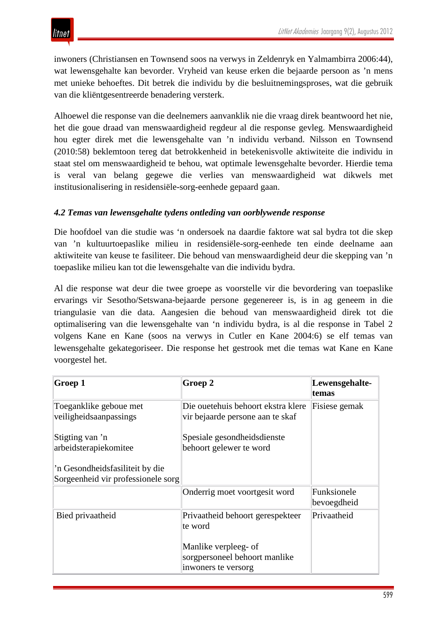

inwoners (Christiansen en Townsend soos na verwys in Zeldenryk en Yalmambirra 2006:44), wat lewensgehalte kan bevorder. Vryheid van keuse erken die bejaarde persoon as 'n mens met unieke behoeftes. Dit betrek die individu by die besluitnemingsproses, wat die gebruik van die kliëntgesentreerde benadering versterk.

Alhoewel die response van die deelnemers aanvanklik nie die vraag direk beantwoord het nie, het die goue draad van menswaardigheid regdeur al die response gevleg. Menswaardigheid hou egter direk met die lewensgehalte van 'n individu verband. Nilsson en Townsend (2010:58) beklemtoon tereg dat betrokkenheid in betekenisvolle aktiwiteite die individu in staat stel om menswaardigheid te behou, wat optimale lewensgehalte bevorder. Hierdie tema is veral van belang gegewe die verlies van menswaardigheid wat dikwels met institusionalisering in residensiële-sorg-eenhede gepaard gaan.

#### *4.2 Temas van lewensgehalte tydens ontleding van oorblywende response*

Die hoofdoel van die studie was 'n ondersoek na daardie faktore wat sal bydra tot die skep van 'n kultuurtoepaslike milieu in residensiële-sorg-eenhede ten einde deelname aan aktiwiteite van keuse te fasiliteer. Die behoud van menswaardigheid deur die skepping van 'n toepaslike milieu kan tot die lewensgehalte van die individu bydra.

Al die response wat deur die twee groepe as voorstelle vir die bevordering van toepaslike ervarings vir Sesotho/Setswana-bejaarde persone gegenereer is, is in ag geneem in die triangulasie van die data. Aangesien die behoud van menswaardigheid direk tot die optimalisering van die lewensgehalte van 'n individu bydra, is al die response in Tabel 2 volgens Kane en Kane (soos na verwys in Cutler en Kane 2004:6) se elf temas van lewensgehalte gekategoriseer. Die response het gestrook met die temas wat Kane en Kane voorgestel het.

| Groep 1                                                                                                           | Groep 2                                                                                                                     | Lewensgehalte-<br>temas    |
|-------------------------------------------------------------------------------------------------------------------|-----------------------------------------------------------------------------------------------------------------------------|----------------------------|
| Toeganklike geboue met<br>veiligheidsaanpassings                                                                  | Die ouetehuis behoort ekstra klere<br>vir bejaarde persone aan te skaf                                                      | Fisiese gemak              |
| Stigting van 'n<br>arbeidsterapiekomitee<br>'n Gesondheidsfasiliteit by die<br>Sorgeenheid vir professionele sorg | Spesiale gesondheidsdienste<br>behoort gelewer te word                                                                      |                            |
|                                                                                                                   | Onderrig moet voortgesit word                                                                                               | Funksionele<br>bevoegdheid |
| Bied privaatheid                                                                                                  | Privaatheid behoort gerespekteer<br>te word<br>Manlike verpleeg- of<br>sorgpersoneel behoort manlike<br>inwoners te versorg | Privaatheid                |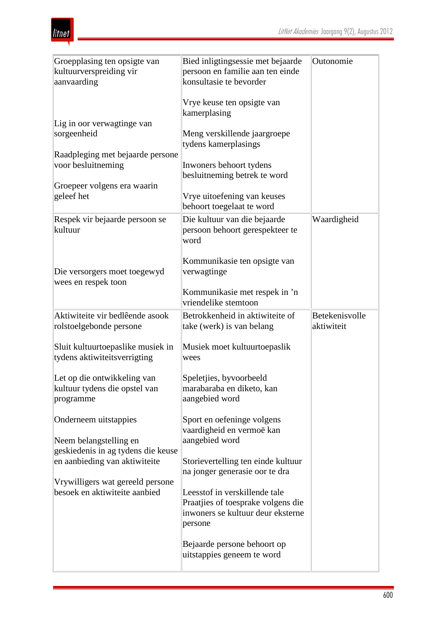

| Groepplasing ten opsigte van              | Bied inligtingsessie met bejaarde                    | Outonomie      |
|-------------------------------------------|------------------------------------------------------|----------------|
| kultuurverspreiding vir                   | persoon en familie aan ten einde                     |                |
| aanvaarding                               | konsultasie te bevorder                              |                |
|                                           | Vrye keuse ten opsigte van<br>kamerplasing           |                |
| Lig in oor verwagtinge van<br>sorgeenheid |                                                      |                |
|                                           | Meng verskillende jaargroepe<br>tydens kamerplasings |                |
| Raadpleging met bejaarde persone          |                                                      |                |
| voor besluitneming                        | Inwoners behoort tydens                              |                |
|                                           | besluitneming betrek te word                         |                |
| Groepeer volgens era waarin               |                                                      |                |
| geleef het                                | Vrye uitoefening van keuses                          |                |
|                                           | behoort toegelaat te word                            |                |
| Respek vir bejaarde persoon se            | Die kultuur van die bejaarde                         | Waardigheid    |
| kultuur                                   | persoon behoort gerespekteer te<br>word              |                |
|                                           | Kommunikasie ten opsigte van                         |                |
| Die versorgers moet toegewyd              | verwagtinge                                          |                |
| wees en respek toon                       |                                                      |                |
|                                           | Kommunikasie met respek in 'n                        |                |
|                                           | vriendelike stemtoon                                 |                |
| Aktiwiteite vir bedlêende asook           | Betrokkenheid in aktiwiteite of                      | Betekenisvolle |
| rolstoelgebonde persone                   | take (werk) is van belang                            | aktiwiteit     |
|                                           |                                                      |                |
| Sluit kultuurtoepaslike musiek in         | Musiek moet kultuurtoepaslik                         |                |
| tydens aktiwiteitsverrigting              | wees                                                 |                |
|                                           |                                                      |                |
| Let op die ontwikkeling van               | Speletjies, byvoorbeeld                              |                |
| kultuur tydens die opstel van             | marabaraba en diketo, kan                            |                |
| programme                                 | aangebied word                                       |                |
| Onderneem uitstappies                     | Sport en oefeninge volgens                           |                |
|                                           | vaardigheid en vermoë kan                            |                |
| Neem belangstelling en                    | aangebied word                                       |                |
| geskiedenis in ag tydens die keuse        |                                                      |                |
| en aanbieding van aktiwiteite             | Storievertelling ten einde kultuur                   |                |
|                                           | na jonger generasie oor te dra                       |                |
| Vrywilligers wat gereeld persone          |                                                      |                |
| besoek en aktiwiteite aanbied             | Leesstof in verskillende tale                        |                |
|                                           | Praatjies of toesprake volgens die                   |                |
|                                           | inwoners se kultuur deur eksterne                    |                |
|                                           | persone                                              |                |
|                                           |                                                      |                |
|                                           | Bejaarde persone behoort op                          |                |
|                                           | uitstappies geneem te word                           |                |
|                                           |                                                      |                |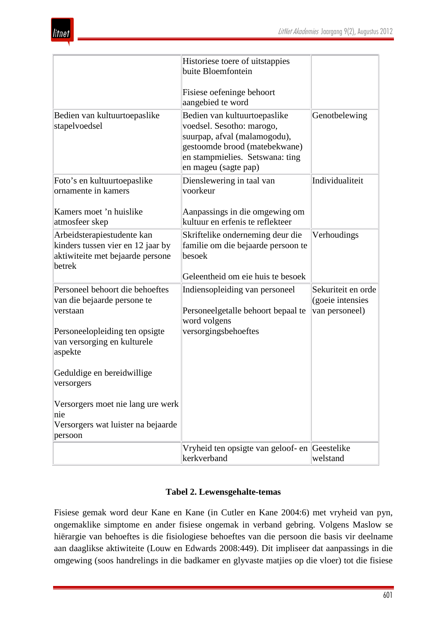

|                                                                                                               | Historiese toere of uitstappies<br>buite Bloemfontein                                                                                                                                 |                                                          |
|---------------------------------------------------------------------------------------------------------------|---------------------------------------------------------------------------------------------------------------------------------------------------------------------------------------|----------------------------------------------------------|
|                                                                                                               | Fisiese oefeninge behoort<br>aangebied te word                                                                                                                                        |                                                          |
| Bedien van kultuurtoepaslike<br>stapelvoedsel                                                                 | Bedien van kultuurtoepaslike<br>voedsel. Sesotho: marogo,<br>suurpap, afval (malamogodu),<br>gestoomde brood (matebekwane)<br>en stampmielies. Setswana: ting<br>en mageu (sagte pap) | Genotbelewing                                            |
| Foto's en kultuurtoepaslike<br>ornamente in kamers                                                            | Dienslewering in taal van<br>voorkeur                                                                                                                                                 | Individualiteit                                          |
| Kamers moet 'n huislike<br>atmosfeer skep                                                                     | Aanpassings in die omgewing om<br>kultuur en erfenis te reflekteer                                                                                                                    |                                                          |
| Arbeidsterapiestudente kan<br>kinders tussen vier en 12 jaar by<br>aktiwiteite met bejaarde persone<br>betrek | Skriftelike onderneming deur die<br>familie om die bejaarde persoon te<br>besoek                                                                                                      | Verhoudings                                              |
|                                                                                                               | Geleentheid om eie huis te besoek                                                                                                                                                     |                                                          |
| Personeel behoort die behoeftes<br>van die bejaarde persone te<br>verstaan                                    | Indiensopleiding van personeel<br>Persone elgetalle behoort bepaal te<br>word volgens                                                                                                 | Sekuriteit en orde<br>(goeie intensies<br>van personeel) |
| Personeelopleiding ten opsigte<br>van versorging en kulturele<br>aspekte                                      | versorgingsbehoeftes                                                                                                                                                                  |                                                          |
| Geduldige en bereidwillige<br>versorgers                                                                      |                                                                                                                                                                                       |                                                          |
| Versorgers moet nie lang ure werk<br>nie<br>Versorgers wat luister na bejaarde<br>persoon                     |                                                                                                                                                                                       |                                                          |
|                                                                                                               | Vryheid ten opsigte van geloof- en Geestelike<br>kerkverband                                                                                                                          | welstand                                                 |

#### **Tabel 2. Lewensgehalte-temas**

Fisiese gemak word deur Kane en Kane (in Cutler en Kane 2004:6) met vryheid van pyn, ongemaklike simptome en ander fisiese ongemak in verband gebring. Volgens Maslow se hiërargie van behoeftes is die fisiologiese behoeftes van die persoon die basis vir deelname aan daaglikse aktiwiteite (Louw en Edwards 2008:449). Dit impliseer dat aanpassings in die omgewing (soos handrelings in die badkamer en glyvaste matjies op die vloer) tot die fisiese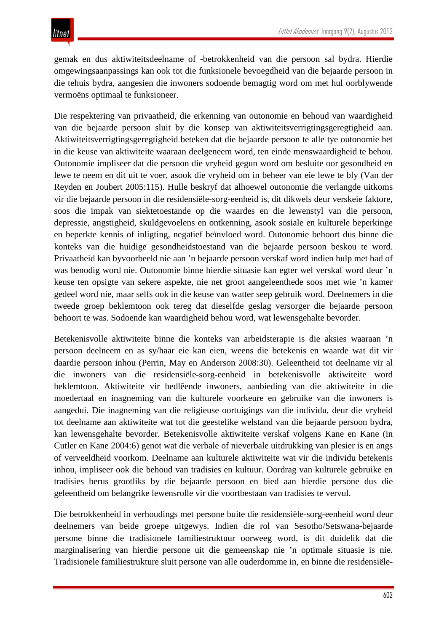gemak en dus aktiwiteitsdeelname of -betrokkenheid van die persoon sal bydra. Hierdie omgewingsaanpassings kan ook tot die funksionele bevoegdheid van die bejaarde persoon in die tehuis bydra, aangesien die inwoners sodoende bemagtig word om met hul oorblywende vermoëns optimaal te funksioneer.

Die respektering van privaatheid, die erkenning van outonomie en behoud van waardigheid van die bejaarde persoon sluit by die konsep van aktiwiteitsverrigtingsgeregtigheid aan. Aktiwiteitsverrigtingsgeregtigheid beteken dat die bejaarde persoon te alle tye outonomie het in die keuse van aktiwiteite waaraan deelgeneem word, ten einde menswaardigheid te behou. Outonomie impliseer dat die persoon die vryheid gegun word om besluite oor gesondheid en lewe te neem en dit uit te voer, asook die vryheid om in beheer van eie lewe te bly (Van der Reyden en Joubert 2005:115). Hulle beskryf dat alhoewel outonomie die verlangde uitkoms vir die bejaarde persoon in die residensiële-sorg-eenheid is, dit dikwels deur verskeie faktore, soos die impak van siektetoestande op die waardes en die lewenstyl van die persoon, depressie, angstigheid, skuldgevoelens en ontkenning, asook sosiale en kulturele beperkinge en beperkte kennis of inligting, negatief beïnvloed word. Outonomie behoort dus binne die konteks van die huidige gesondheidstoestand van die bejaarde persoon beskou te word. Privaatheid kan byvoorbeeld nie aan 'n bejaarde persoon verskaf word indien hulp met bad of was benodig word nie. Outonomie binne hierdie situasie kan egter wel verskaf word deur 'n keuse ten opsigte van sekere aspekte, nie net groot aangeleenthede soos met wie 'n kamer gedeel word nie, maar selfs ook in die keuse van watter seep gebruik word. Deelnemers in die tweede groep beklemtoon ook tereg dat dieselfde geslag versorger die bejaarde persoon behoort te was. Sodoende kan waardigheid behou word, wat lewensgehalte bevorder.

Betekenisvolle aktiwiteite binne die konteks van arbeidsterapie is die aksies waaraan 'n persoon deelneem en as sy/haar eie kan eien, weens die betekenis en waarde wat dit vir daardie persoon inhou (Perrin, May en Anderson 2008:30). Geleentheid tot deelname vir al die inwoners van die residensiële-sorg-eenheid in betekenisvolle aktiwiteite word beklemtoon. Aktiwiteite vir bedlêende inwoners, aanbieding van die aktiwiteite in die moedertaal en inagneming van die kulturele voorkeure en gebruike van die inwoners is aangedui. Die inagneming van die religieuse oortuigings van die individu, deur die vryheid tot deelname aan aktiwiteite wat tot die geestelike welstand van die bejaarde persoon bydra, kan lewensgehalte bevorder. Betekenisvolle aktiwiteite verskaf volgens Kane en Kane (in Cutler en Kane 2004:6) genot wat die verbale of nieverbale uitdrukking van plesier is en angs of verveeldheid voorkom. Deelname aan kulturele aktiwiteite wat vir die individu betekenis inhou, impliseer ook die behoud van tradisies en kultuur. Oordrag van kulturele gebruike en tradisies berus grootliks by die bejaarde persoon en bied aan hierdie persone dus die geleentheid om belangrike lewensrolle vir die voortbestaan van tradisies te vervul.

Die betrokkenheid in verhoudings met persone buite die residensiële-sorg-eenheid word deur deelnemers van beide groepe uitgewys. Indien die rol van Sesotho/Setswana-bejaarde persone binne die tradisionele familiestruktuur oorweeg word, is dit duidelik dat die marginalisering van hierdie persone uit die gemeenskap nie 'n optimale situasie is nie. Tradisionele familiestrukture sluit persone van alle ouderdomme in, en binne die residensiële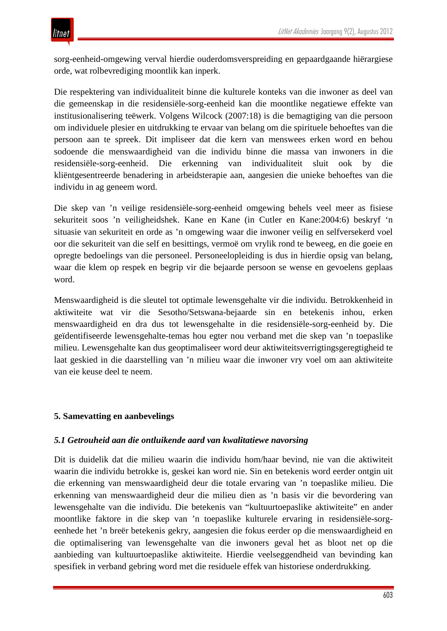sorg-eenheid-omgewing verval hierdie ouderdomsverspreiding en gepaardgaande hiërargiese orde, wat rolbevrediging moontlik kan inperk.

Die respektering van individualiteit binne die kulturele konteks van die inwoner as deel van die gemeenskap in die residensiële-sorg-eenheid kan die moontlike negatiewe effekte van institusionalisering teëwerk. Volgens Wilcock (2007:18) is die bemagtiging van die persoon om individuele plesier en uitdrukking te ervaar van belang om die spirituele behoeftes van die persoon aan te spreek. Dit impliseer dat die kern van menswees erken word en behou sodoende die menswaardigheid van die individu binne die massa van inwoners in die residensiële-sorg-eenheid. Die erkenning van individualiteit sluit ook by die kliëntgesentreerde benadering in arbeidsterapie aan, aangesien die unieke behoeftes van die individu in ag geneem word.

Die skep van 'n veilige residensiële-sorg-eenheid omgewing behels veel meer as fisiese sekuriteit soos 'n veiligheidshek. Kane en Kane (in Cutler en Kane:2004:6) beskryf 'n situasie van sekuriteit en orde as 'n omgewing waar die inwoner veilig en selfversekerd voel oor die sekuriteit van die self en besittings, vermoë om vrylik rond te beweeg, en die goeie en opregte bedoelings van die personeel. Personeelopleiding is dus in hierdie opsig van belang, waar die klem op respek en begrip vir die bejaarde persoon se wense en gevoelens geplaas word.

Menswaardigheid is die sleutel tot optimale lewensgehalte vir die individu. Betrokkenheid in aktiwiteite wat vir die Sesotho/Setswana-bejaarde sin en betekenis inhou, erken menswaardigheid en dra dus tot lewensgehalte in die residensiële-sorg-eenheid by. Die geïdentifiseerde lewensgehalte-temas hou egter nou verband met die skep van 'n toepaslike milieu. Lewensgehalte kan dus geoptimaliseer word deur aktiwiteitsverrigtingsgeregtigheid te laat geskied in die daarstelling van 'n milieu waar die inwoner vry voel om aan aktiwiteite van eie keuse deel te neem.

#### **5. Samevatting en aanbevelings**

#### *5.1 Getrouheid aan die ontluikende aard van kwalitatiewe navorsing*

Dit is duidelik dat die milieu waarin die individu hom/haar bevind, nie van die aktiwiteit waarin die individu betrokke is, geskei kan word nie. Sin en betekenis word eerder ontgin uit die erkenning van menswaardigheid deur die totale ervaring van 'n toepaslike milieu. Die erkenning van menswaardigheid deur die milieu dien as 'n basis vir die bevordering van lewensgehalte van die individu. Die betekenis van "kultuurtoepaslike aktiwiteite" en ander moontlike faktore in die skep van 'n toepaslike kulturele ervaring in residensiële-sorgeenhede het 'n breër betekenis gekry, aangesien die fokus eerder op die menswaardigheid en die optimalisering van lewensgehalte van die inwoners geval het as bloot net op die aanbieding van kultuurtoepaslike aktiwiteite. Hierdie veelseggendheid van bevinding kan spesifiek in verband gebring word met die residuele effek van historiese onderdrukking.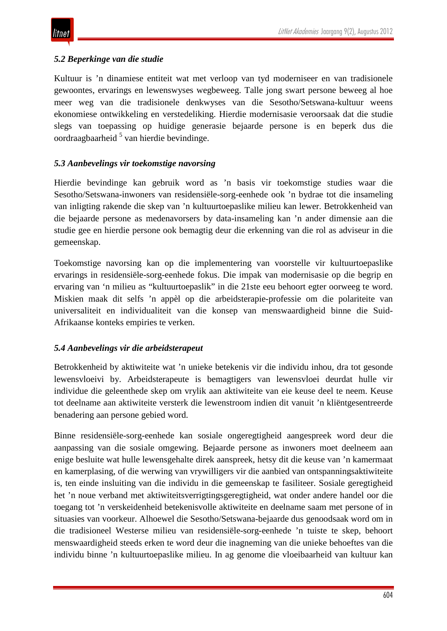## *5.2 Beperkinge van die studie*

Kultuur is 'n dinamiese entiteit wat met verloop van tyd moderniseer en van tradisionele gewoontes, ervarings en lewenswyses wegbeweeg. Talle jong swart persone beweeg al hoe meer weg van die tradisionele denkwyses van die Sesotho/Setswana-kultuur weens ekonomiese ontwikkeling en verstedeliking. Hierdie modernisasie veroorsaak dat die studie slegs van toepassing op huidige generasie bejaarde persone is en beperk dus die oordraagbaarheid 5 van hierdie bevindinge.

## *5.3 Aanbevelings vir toekomstige navorsing*

Hierdie bevindinge kan gebruik word as 'n basis vir toekomstige studies waar die Sesotho/Setswana-inwoners van residensiële-sorg-eenhede ook 'n bydrae tot die insameling van inligting rakende die skep van 'n kultuurtoepaslike milieu kan lewer. Betrokkenheid van die bejaarde persone as medenavorsers by data-insameling kan 'n ander dimensie aan die studie gee en hierdie persone ook bemagtig deur die erkenning van die rol as adviseur in die gemeenskap.

Toekomstige navorsing kan op die implementering van voorstelle vir kultuurtoepaslike ervarings in residensiële-sorg-eenhede fokus. Die impak van modernisasie op die begrip en ervaring van 'n milieu as "kultuurtoepaslik" in die 21ste eeu behoort egter oorweeg te word. Miskien maak dit selfs 'n appèl op die arbeidsterapie-professie om die polariteite van universaliteit en individualiteit van die konsep van menswaardigheid binne die Suid-Afrikaanse konteks empiries te verken.

#### *5.4 Aanbevelings vir die arbeidsterapeut*

Betrokkenheid by aktiwiteite wat 'n unieke betekenis vir die individu inhou, dra tot gesonde lewensvloeivi by. Arbeidsterapeute is bemagtigers van lewensvloei deurdat hulle vir individue die geleenthede skep om vrylik aan aktiwiteite van eie keuse deel te neem. Keuse tot deelname aan aktiwiteite versterk die lewenstroom indien dit vanuit 'n kliëntgesentreerde benadering aan persone gebied word.

Binne residensiële-sorg-eenhede kan sosiale ongeregtigheid aangespreek word deur die aanpassing van die sosiale omgewing. Bejaarde persone as inwoners moet deelneem aan enige besluite wat hulle lewensgehalte direk aanspreek, hetsy dit die keuse van 'n kamermaat en kamerplasing, of die werwing van vrywilligers vir die aanbied van ontspanningsaktiwiteite is, ten einde insluiting van die individu in die gemeenskap te fasiliteer. Sosiale geregtigheid het 'n noue verband met aktiwiteitsverrigtingsgeregtigheid, wat onder andere handel oor die toegang tot 'n verskeidenheid betekenisvolle aktiwiteite en deelname saam met persone of in situasies van voorkeur. Alhoewel die Sesotho/Setswana-bejaarde dus genoodsaak word om in die tradisioneel Westerse milieu van residensiële-sorg-eenhede 'n tuiste te skep, behoort menswaardigheid steeds erken te word deur die inagneming van die unieke behoeftes van die individu binne 'n kultuurtoepaslike milieu. In ag genome die vloeibaarheid van kultuur kan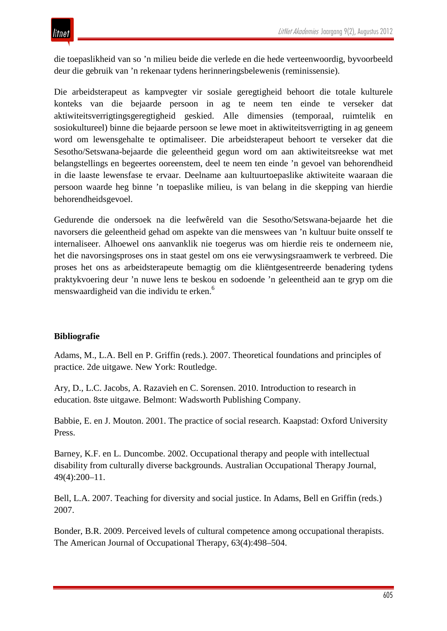die toepaslikheid van so 'n milieu beide die verlede en die hede verteenwoordig, byvoorbeeld deur die gebruik van 'n rekenaar tydens herinneringsbelewenis (reminissensie).

Die arbeidsterapeut as kampvegter vir sosiale geregtigheid behoort die totale kulturele konteks van die bejaarde persoon in ag te neem ten einde te verseker dat aktiwiteitsverrigtingsgeregtigheid geskied. Alle dimensies (temporaal, ruimtelik en sosiokultureel) binne die bejaarde persoon se lewe moet in aktiwiteitsverrigting in ag geneem word om lewensgehalte te optimaliseer. Die arbeidsterapeut behoort te verseker dat die Sesotho/Setswana-bejaarde die geleentheid gegun word om aan aktiwiteitsreekse wat met belangstellings en begeertes ooreenstem, deel te neem ten einde 'n gevoel van behorendheid in die laaste lewensfase te ervaar. Deelname aan kultuurtoepaslike aktiwiteite waaraan die persoon waarde heg binne 'n toepaslike milieu, is van belang in die skepping van hierdie behorendheidsgevoel.

Gedurende die ondersoek na die leefwêreld van die Sesotho/Setswana-bejaarde het die navorsers die geleentheid gehad om aspekte van die menswees van 'n kultuur buite onsself te internaliseer. Alhoewel ons aanvanklik nie toegerus was om hierdie reis te onderneem nie, het die navorsingsproses ons in staat gestel om ons eie verwysingsraamwerk te verbreed. Die proses het ons as arbeidsterapeute bemagtig om die kliëntgesentreerde benadering tydens praktykvoering deur 'n nuwe lens te beskou en sodoende 'n geleentheid aan te gryp om die menswaardigheid van die individu te erken.6

## **Bibliografie**

Adams, M., L.A. Bell en P. Griffin (reds.). 2007. Theoretical foundations and principles of practice. 2de uitgawe. New York: Routledge.

Ary, D., L.C. Jacobs, A. Razavieh en C. Sorensen. 2010. Introduction to research in education. 8ste uitgawe. Belmont: Wadsworth Publishing Company.

Babbie, E. en J. Mouton. 2001. The practice of social research. Kaapstad: Oxford University Press.

Barney, K.F. en L. Duncombe. 2002. Occupational therapy and people with intellectual disability from culturally diverse backgrounds. Australian Occupational Therapy Journal, 49(4):200–11.

Bell, L.A. 2007. Teaching for diversity and social justice. In Adams, Bell en Griffin (reds.) 2007.

Bonder, B.R. 2009. Perceived levels of cultural competence among occupational therapists. The American Journal of Occupational Therapy, 63(4):498–504.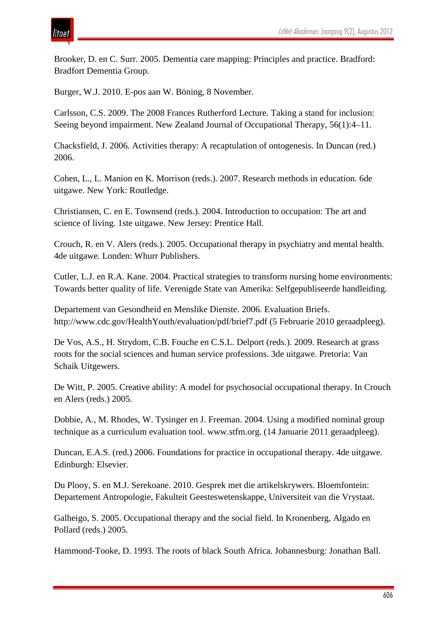Brooker, D. en C. Surr. 2005. Dementia care mapping: Principles and practice. Bradford: Bradfort Dementia Group.

Burger, W.J. 2010. E-pos aan W. Böning, 8 November.

Carlsson, C.S. 2009. The 2008 Frances Rutherford Lecture. Taking a stand for inclusion: Seeing beyond impairment. New Zealand Journal of Occupational Therapy, 56(1):4–11.

Chacksfield, J. 2006. Activities therapy: A recaptulation of ontogenesis. In Duncan (red.) 2006.

Cohen, L., L. Manion en K. Morrison (reds.). 2007. Research methods in education. 6de uitgawe. New York: Routledge.

Christiansen, C. en E. Townsend (reds.). 2004. Introduction to occupation: The art and science of living. 1ste uitgawe. New Jersey: Prentice Hall.

Crouch, R. en V. Alers (reds.). 2005. Occupational therapy in psychiatry and mental health. 4de uitgawe. Londen: Whurr Publishers.

Cutler, L.J. en R.A. Kane. 2004. Practical strategies to transform nursing home environments: Towards better quality of life. Verenigde State van Amerika: Selfgepubliseerde handleiding.

Departement van Gesondheid en Menslike Dienste. 2006. Evaluation Briefs. http://www.cdc.gov/HealthYouth/evaluation/pdf/brief7.pdf (5 Februarie 2010 geraadpleeg).

De Vos, A.S., H. Strydom, C.B. Fouche en C.S.L. Delport (reds.). 2009. Research at grass roots for the social sciences and human service professions. 3de uitgawe. Pretoria: Van Schaik Uitgewers.

De Witt, P. 2005. Creative ability: A model for psychosocial occupational therapy. In Crouch en Alers (reds.) 2005.

Dobbie, A., M. Rhodes, W. Tysinger en J. Freeman. 2004. Using a modified nominal group technique as a curriculum evaluation tool. www.stfm.org. (14 Januarie 2011 geraadpleeg).

Duncan, E.A.S. (red.) 2006. Foundations for practice in occupational therapy. 4de uitgawe. Edinburgh: Elsevier.

Du Plooy, S. en M.J. Serekoane. 2010. Gesprek met die artikelskrywers. Bloemfontein: Departement Antropologie, Fakulteit Geesteswetenskappe, Universiteit van die Vrystaat.

Galheigo, S. 2005. Occupational therapy and the social field. In Kronenberg, Algado en Pollard (reds.) 2005.

Hammond-Tooke, D. 1993. The roots of black South Africa. Johannesburg: Jonathan Ball.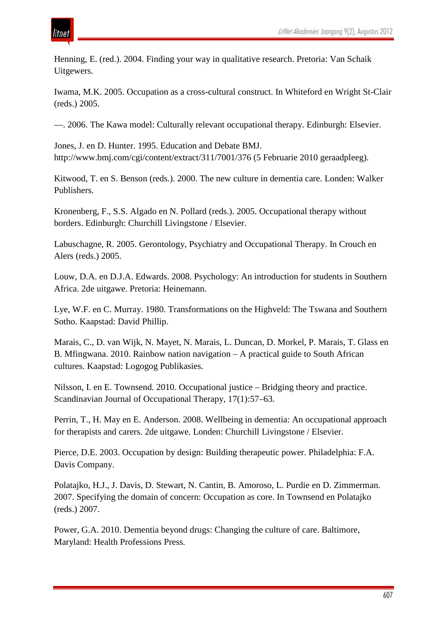Henning, E. (red.). 2004. Finding your way in qualitative research. Pretoria: Van Schaik Uitgewers.

Iwama, M.K. 2005. Occupation as a cross-cultural construct. In Whiteford en Wright St-Clair (reds.) 2005.

—. 2006. The Kawa model: Culturally relevant occupational therapy. Edinburgh: Elsevier.

Jones, J. en D. Hunter. 1995. Education and Debate BMJ. http://www.bmj.com/cgi/content/extract/311/7001/376 (5 Februarie 2010 geraadpleeg).

Kitwood, T. en S. Benson (reds.). 2000. The new culture in dementia care. Londen: Walker Publishers.

Kronenberg, F., S.S. Algado en N. Pollard (reds.). 2005. Occupational therapy without borders. Edinburgh: Churchill Livingstone / Elsevier.

Labuschagne, R. 2005. Gerontology, Psychiatry and Occupational Therapy. In Crouch en Alers (reds.) 2005.

Louw, D.A. en D.J.A. Edwards. 2008. Psychology: An introduction for students in Southern Africa. 2de uitgawe. Pretoria: Heinemann.

Lye, W.F. en C. Murray. 1980. Transformations on the Highveld: The Tswana and Southern Sotho. Kaapstad: David Phillip.

Marais, C., D. van Wijk, N. Mayet, N. Marais, L. Duncan, D. Morkel, P. Marais, T. Glass en B. Mfingwana. 2010. Rainbow nation navigation – A practical guide to South African cultures. Kaapstad: Logogog Publikasies.

Nilsson, I. en E. Townsend. 2010. Occupational justice – Bridging theory and practice. Scandinavian Journal of Occupational Therapy, 17(1):57–63.

Perrin, T., H. May en E. Anderson. 2008. Wellbeing in dementia: An occupational approach for therapists and carers. 2de uitgawe. Londen: Churchill Livingstone / Elsevier.

Pierce, D.E. 2003. Occupation by design: Building therapeutic power. Philadelphia: F.A. Davis Company.

Polatajko, H.J., J. Davis, D. Stewart, N. Cantin, B. Amoroso, L. Purdie en D. Zimmerman. 2007. Specifying the domain of concern: Occupation as core. In Townsend en Polatajko (reds.) 2007.

Power, G.A. 2010. Dementia beyond drugs: Changing the culture of care. Baltimore, Maryland: Health Professions Press.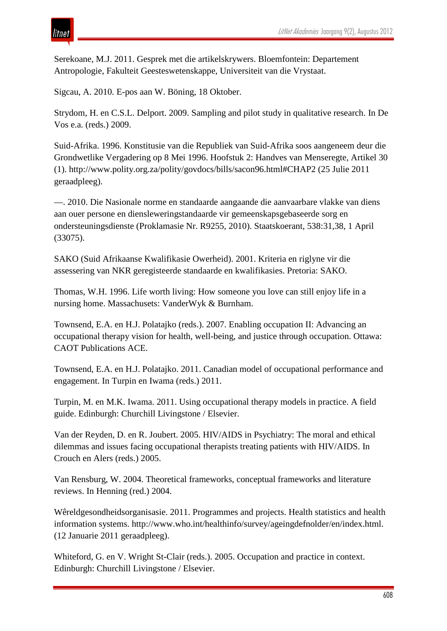

Serekoane, M.J. 2011. Gesprek met die artikelskrywers. Bloemfontein: Departement Antropologie, Fakulteit Geesteswetenskappe, Universiteit van die Vrystaat.

Sigcau, A. 2010. E-pos aan W. Böning, 18 Oktober.

Strydom, H. en C.S.L. Delport. 2009. Sampling and pilot study in qualitative research. In De Vos e.a. (reds.) 2009.

Suid-Afrika. 1996. Konstitusie van die Republiek van Suid-Afrika soos aangeneem deur die Grondwetlike Vergadering op 8 Mei 1996. Hoofstuk 2: Handves van Menseregte, Artikel 30 (1). http://www.polity.org.za/polity/govdocs/bills/sacon96.html#CHAP2 (25 Julie 2011 geraadpleeg).

—. 2010. Die Nasionale norme en standaarde aangaande die aanvaarbare vlakke van diens aan ouer persone en diensleweringstandaarde vir gemeenskapsgebaseerde sorg en ondersteuningsdienste (Proklamasie Nr. R9255, 2010). Staatskoerant, 538:31,38, 1 April (33075).

SAKO (Suid Afrikaanse Kwalifikasie Owerheid). 2001. Kriteria en riglyne vir die assessering van NKR geregisteerde standaarde en kwalifikasies. Pretoria: SAKO.

Thomas, W.H. 1996. Life worth living: How someone you love can still enjoy life in a nursing home. Massachusets: VanderWyk & Burnham.

Townsend, E.A. en H.J. Polatajko (reds.). 2007. Enabling occupation II: Advancing an occupational therapy vision for health, well-being, and justice through occupation. Ottawa: CAOT Publications ACE.

Townsend, E.A. en H.J. Polatajko. 2011. Canadian model of occupational performance and engagement. In Turpin en Iwama (reds.) 2011.

Turpin, M. en M.K. Iwama. 2011. Using occupational therapy models in practice. A field guide. Edinburgh: Churchill Livingstone / Elsevier.

Van der Reyden, D. en R. Joubert. 2005. HIV/AIDS in Psychiatry: The moral and ethical dilemmas and issues facing occupational therapists treating patients with HIV/AIDS. In Crouch en Alers (reds.) 2005.

Van Rensburg, W. 2004. Theoretical frameworks, conceptual frameworks and literature reviews. In Henning (red.) 2004.

Wêreldgesondheidsorganisasie. 2011. Programmes and projects. Health statistics and health information systems. http://www.who.int/healthinfo/survey/ageingdefnolder/en/index.html. (12 Januarie 2011 geraadpleeg).

Whiteford, G. en V. Wright St-Clair (reds.). 2005. Occupation and practice in context. Edinburgh: Churchill Livingstone / Elsevier.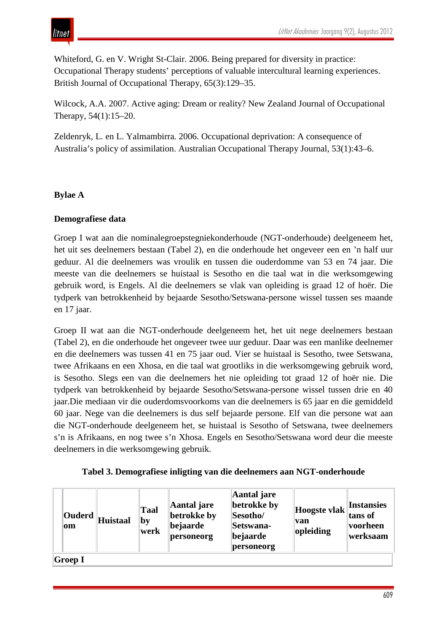

Whiteford, G. en V. Wright St-Clair. 2006. Being prepared for diversity in practice: Occupational Therapy students' perceptions of valuable intercultural learning experiences. British Journal of Occupational Therapy, 65(3):129–35.

Wilcock, A.A. 2007. Active aging: Dream or reality? New Zealand Journal of Occupational Therapy, 54(1):15–20.

Zeldenryk, L. en L. Yalmambirra. 2006. Occupational deprivation: A consequence of Australia's policy of assimilation. Australian Occupational Therapy Journal, 53(1):43–6.

## **Bylae A**

#### **Demografiese data**

Groep I wat aan die nominalegroepstegniekonderhoude (NGT-onderhoude) deelgeneem het, het uit ses deelnemers bestaan (Tabel 2), en die onderhoude het ongeveer een en 'n half uur geduur. Al die deelnemers was vroulik en tussen die ouderdomme van 53 en 74 jaar. Die meeste van die deelnemers se huistaal is Sesotho en die taal wat in die werksomgewing gebruik word, is Engels. Al die deelnemers se vlak van opleiding is graad 12 of hoër. Die tydperk van betrokkenheid by bejaarde Sesotho/Setswana-persone wissel tussen ses maande en 17 jaar.

Groep II wat aan die NGT-onderhoude deelgeneem het, het uit nege deelnemers bestaan (Tabel 2), en die onderhoude het ongeveer twee uur geduur. Daar was een manlike deelnemer en die deelnemers was tussen 41 en 75 jaar oud. Vier se huistaal is Sesotho, twee Setswana, twee Afrikaans en een Xhosa, en die taal wat grootliks in die werksomgewing gebruik word, is Sesotho. Slegs een van die deelnemers het nie opleiding tot graad 12 of hoër nie. Die tydperk van betrokkenheid by bejaarde Sesotho/Setswana-persone wissel tussen drie en 40 jaar.Die mediaan vir die ouderdomsvoorkoms van die deelnemers is 65 jaar en die gemiddeld 60 jaar. Nege van die deelnemers is dus self bejaarde persone. Elf van die persone wat aan die NGT-onderhoude deelgeneem het, se huistaal is Sesotho of Setswana, twee deelnemers s'n is Afrikaans, en nog twee s'n Xhosa. Engels en Sesotho/Setswana word deur die meeste deelnemers in die werksomgewing gebruik.

|  |  |  | Tabel 3. Demografiese inligting van die deelnemers aan NGT-onderhoude |
|--|--|--|-----------------------------------------------------------------------|
|--|--|--|-----------------------------------------------------------------------|

|         | Ouderd<br>om | <b>Huistaal</b> | <b>Taal</b><br>by<br>werk | Aantal jare<br>betrokke by<br>bejaarde<br>personeorg | Aantal jare<br>betrokke by<br>Sesotho/<br>Setswana-<br>bejaarde<br>personeorg | Hoogste vlak ans of<br>van<br>opleiding | <b>Instansies</b><br>voorheen<br> werksaam |
|---------|--------------|-----------------|---------------------------|------------------------------------------------------|-------------------------------------------------------------------------------|-----------------------------------------|--------------------------------------------|
| Groep I |              |                 |                           |                                                      |                                                                               |                                         |                                            |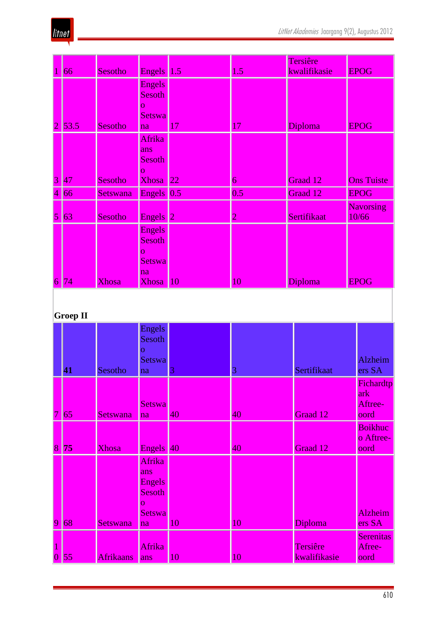litnet

|                         |                 |              |                      |                          |                | Tersiêre     |                             |
|-------------------------|-----------------|--------------|----------------------|--------------------------|----------------|--------------|-----------------------------|
|                         | 66              | Sesotho      | <b>Engels</b>        | $\vert$ 1.5              | 1.5            | kwalifikasie | <b>EPOG</b>                 |
|                         |                 |              | <b>Engels</b>        |                          |                |              |                             |
|                         |                 |              | <b>Sesoth</b>        |                          |                |              |                             |
|                         |                 |              | $\overline{O}$       |                          |                |              |                             |
|                         |                 |              | Setswa               |                          |                |              |                             |
| $\overline{2}$          | 53.5            | Sesotho      | na                   | 17                       | 17             | Diploma      | <b>EPOG</b>                 |
|                         |                 |              | Afrika               |                          |                |              |                             |
|                         |                 |              | ans                  |                          |                |              |                             |
|                         |                 |              | Sesoth               |                          |                |              |                             |
|                         |                 |              | $ 0\rangle$          |                          |                |              |                             |
| $\overline{\mathbf{3}}$ | 47              | Sesotho      | Xhosa <sup>22</sup>  |                          | $\overline{6}$ | Graad 12     | <b>Ons Tuiste</b>           |
| $\overline{4}$          | 66              | Setswana     | Engels 0.5           |                          | 0.5            | Graad 12     | <b>EPOG</b>                 |
|                         |                 |              |                      |                          |                |              | <b>Navorsing</b>            |
| $\vert 5 \vert$         | 63              | Sesotho      | <b>Engels</b>        | $\overline{2}$           | $\overline{2}$ | Sertifikaat  | 10/66                       |
|                         |                 |              | <b>Engels</b>        |                          |                |              |                             |
|                         |                 |              | Sesoth               |                          |                |              |                             |
|                         |                 |              | $\overline{0}$       |                          |                |              |                             |
|                         |                 |              | Setswa               |                          |                |              |                             |
|                         |                 |              | na                   |                          |                |              |                             |
| $\overline{6}$          | 74              | <b>Xhosa</b> | <b>Xhosa</b>         | $\overline{\mathbf{10}}$ | 10             | Diploma      | <b>EPOG</b>                 |
|                         |                 |              |                      |                          |                |              |                             |
|                         |                 |              |                      |                          |                |              |                             |
|                         | <b>Groep II</b> |              |                      |                          |                |              |                             |
|                         |                 |              | <b>Engels</b>        |                          |                |              |                             |
|                         |                 |              | Sesoth               |                          |                |              |                             |
|                         |                 |              | $\overline{O}$       |                          |                |              |                             |
|                         |                 | Sesotho      | Setswa               | 3                        | 3              | Sertifikaat  | Alzheim                     |
|                         | 41              |              | na                   |                          |                |              | ers SA                      |
|                         |                 |              |                      |                          |                |              | Fichardtp                   |
|                         |                 |              | Setswa               |                          |                |              | ark                         |
| 7                       | 65              | Setswana     | na                   | 40                       | 40             | Graad 12     | Aftree-<br>oord             |
|                         |                 |              |                      |                          |                |              |                             |
|                         |                 |              |                      |                          |                |              | <b>Boikhuc</b><br>o Aftree- |
| $\overline{\mathbf{8}}$ | 75              | <b>Xhosa</b> | Engels 40            |                          | 40             | Graad 12     | oord                        |
|                         |                 |              | Afrika               |                          |                |              |                             |
|                         |                 |              |                      |                          |                |              |                             |
|                         |                 |              | ans<br><b>Engels</b> |                          |                |              |                             |
|                         |                 |              | <b>Sesoth</b>        |                          |                |              |                             |
|                         |                 |              | $\overline{O}$       |                          |                |              |                             |
|                         |                 |              | Setswa               |                          |                |              | <b>Alzheim</b>              |
| $\overline{9}$          | 68              | Setswana     | na                   | 10                       | 10             | Diploma      | ers SA                      |
|                         |                 |              |                      |                          |                |              |                             |
|                         |                 |              |                      |                          |                |              |                             |
| $\vert$                 |                 |              | Afrika               |                          |                | Tersiêre     | <b>Serenitas</b><br>Afree-  |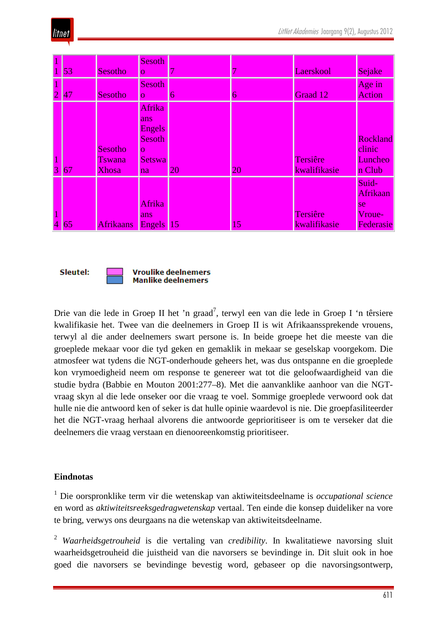| $\overline{1}$                    | 53 | Sesotho                                  | <b>Sesoth</b><br>0                                                   |            |    | Laerskool                | Sejake                                                    |
|-----------------------------------|----|------------------------------------------|----------------------------------------------------------------------|------------|----|--------------------------|-----------------------------------------------------------|
| 2                                 | 47 | Sesotho                                  | <b>Sesoth</b><br>Ω.                                                  | h          | 6  | Graad 12                 | Age in<br>Action                                          |
| $\overline{1}$<br>3 <sup>1</sup>  | 67 | Sesotho<br><b>Tswana</b><br><b>Xhosa</b> | Afrika<br>ans<br><b>Engels</b><br>Sesoth<br>0<br><b>Setswa</b><br>na | <b>20</b>  | 20 | Tersiêre<br>kwalifikasie | <b>Rockland</b><br>clinic<br>Luncheo<br>n Club            |
| $\overline{1}$<br>$\vert 4 \vert$ | 65 | <b>Afrikaans</b>                         | Afrika<br>ans<br><b>Engels</b>                                       | $\vert$ 15 | 15 | Tersiêre<br>kwalifikasie | Suid-<br>Afrikaan<br><sub>se</sub><br>Vroue-<br>Federasie |

Sleutel:



Drie van die lede in Groep II het 'n graad<sup>7</sup>, terwyl een van die lede in Groep I 'n têrsiere kwalifikasie het. Twee van die deelnemers in Groep II is wit Afrikaanssprekende vrouens, terwyl al die ander deelnemers swart persone is. In beide groepe het die meeste van die groeplede mekaar voor die tyd geken en gemaklik in mekaar se geselskap voorgekom. Die atmosfeer wat tydens die NGT-onderhoude geheers het, was dus ontspanne en die groeplede kon vrymoedigheid neem om response te genereer wat tot die geloofwaardigheid van die studie bydra (Babbie en Mouton 2001:277–8). Met die aanvanklike aanhoor van die NGTvraag skyn al die lede onseker oor die vraag te voel. Sommige groeplede verwoord ook dat hulle nie die antwoord ken of seker is dat hulle opinie waardevol is nie. Die groepfasiliteerder het die NGT-vraag herhaal alvorens die antwoorde geprioritiseer is om te verseker dat die deelnemers die vraag verstaan en dienooreenkomstig prioritiseer.

#### **Eindnotas**

<sup>1</sup> Die oorspronklike term vir die wetenskap van aktiwiteitsdeelname is *occupational science* en word as *aktiwiteitsreeksgedragwetenskap* vertaal. Ten einde die konsep duideliker na vore te bring, verwys ons deurgaans na die wetenskap van aktiwiteitsdeelname.

<sup>2</sup> *Waarheidsgetrouheid* is die vertaling van *credibility*. In kwalitatiewe navorsing sluit waarheidsgetrouheid die juistheid van die navorsers se bevindinge in. Dit sluit ook in hoe goed die navorsers se bevindinge bevestig word, gebaseer op die navorsingsontwerp,